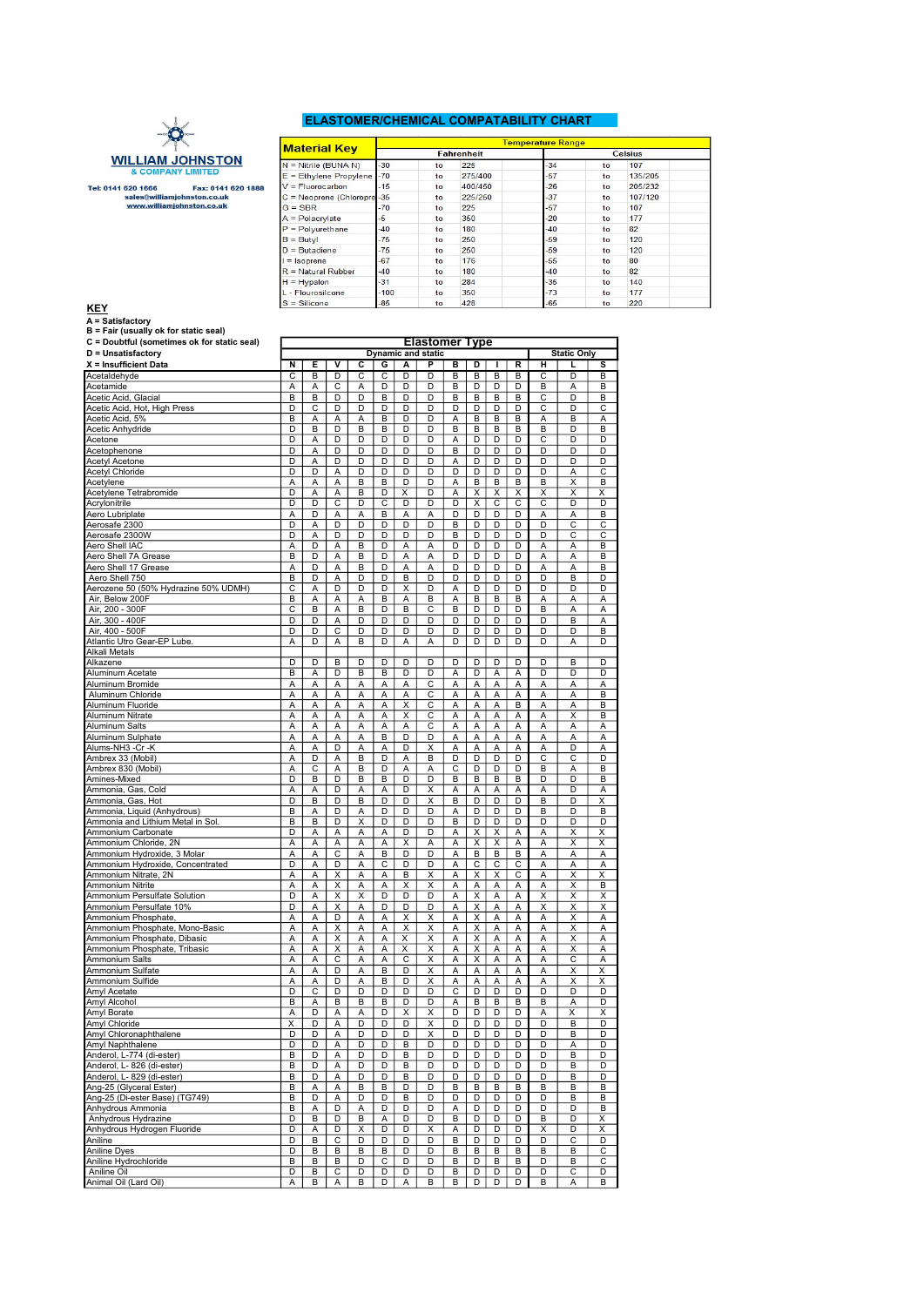## ELASTOMER/CHEMICAL COMPATABILITY CHART



Tel: 0141 620 1666<br>sales@williamjohnston.co.uk<br>www.williamjohnston.co.uk<br>www.williamjohnston.co.uk

|                            |        |         |                   | <b>Temperature Range</b> |               |                |  |
|----------------------------|--------|---------|-------------------|--------------------------|---------------|----------------|--|
| <b>Material Key</b>        |        |         | <b>Fahrenheit</b> |                          |               | <b>Celsius</b> |  |
| $N =$ Nitrile (BUNA N)     | $-30$  | to      | 225               | $-34$                    | to            | 107            |  |
| E = Ethylene Propylene     | $-70$  | to      | 275/400           | $-57$                    | to            | 135/205        |  |
| $V = Fluorocarbon$         | $-15$  | to      | 400/450           | $-26$                    | to            | 205/232        |  |
| C = Neoprene (Chloropre-35 |        | to      | 225/250           | $-37$                    | to            | 107/120        |  |
| $G = SBR$                  | $-70$  | to      | 225               | $-57$                    | to            | 107            |  |
| $A =$ Polacrylate          | $-5$   | to      | 350               | $-20$                    | to            | 177            |  |
| $P =$ Polyurethane         | $-40$  | to      | 180               | $-40$                    | to            | 82             |  |
| $B = B$ utvl               | $-75$  | to      | 250               | $-59$                    | to            | 120            |  |
| $D = Butadiene$            | $-75$  | to      | 250               | $-59$                    | to            | 120            |  |
| $I = Isoprene$             | $-67$  | to      | 176               | $-55$                    | to            | 80             |  |
| $R = Natural Rubber$       | $-40$  | to      | 180               | $-40$                    | to            | 82             |  |
| $H = Hypalon$              | $-31$  | to      | 284               | $-35$                    | to            | 140            |  |
| L - Flourosilcone          | $-100$ | to      | 350               | $-73$                    | to            | 177            |  |
| $S = Slicone$              | $-85$  | $t_{0}$ | 428               | $-65$                    | $\mathsf{to}$ | 220            |  |

| <b>KEY</b>                                                                           | $S =$ Silicone          |        |        |                         | -85    |                         | to                        |        | 428    |        |        | -65                   |                         | to                      |
|--------------------------------------------------------------------------------------|-------------------------|--------|--------|-------------------------|--------|-------------------------|---------------------------|--------|--------|--------|--------|-----------------------|-------------------------|-------------------------|
| A = Satisfactory                                                                     |                         |        |        |                         |        |                         |                           |        |        |        |        |                       |                         |                         |
| B = Fair (usually ok for static seal)<br>C = Doubtful (sometimes ok for static seal) |                         |        |        |                         |        |                         | <b>Elastomer Type</b>     |        |        |        |        |                       |                         |                         |
| D = Unsatisfactory                                                                   |                         |        |        |                         |        |                         | <b>Dynamic and static</b> |        |        |        |        |                       | <b>Static Only</b>      |                         |
| X = Insufficient Data                                                                | N                       | Е      | v      | c                       | G      | А                       | P                         | в      | D      | T      | R      | н                     |                         | s                       |
| Acetaldehyde                                                                         | $\overline{\mathsf{c}}$ | B      | D      | $\overline{\mathsf{c}}$ | C      | $\overline{\mathsf{D}}$ | D                         | В      | В      | B      | B      | $\overline{\text{c}}$ | D                       | B                       |
| Acetamide                                                                            | Α                       | А      | С      | А                       | D      | D                       | D                         | B      | D      | D      | D      | B                     | Α                       | B                       |
| Acetic Acid, Glacial                                                                 | B                       | B      | D      | D                       | в      | D                       | D                         | B      | В      | в      | В      | C                     | D                       | В                       |
| Acetic Acid, Hot, High Press                                                         | D                       | Ċ      | D      | D                       | D      | D                       | D<br>D                    | D      | D      | D      | D      | Ċ                     | D                       | C                       |
| Acetic Acid, 5%<br>Acetic Anhydride                                                  | B<br>D                  | Α<br>B | Α<br>D | Α<br>B                  | B<br>B | D<br>D                  | D                         | Α<br>B | B<br>B | в<br>B | B<br>B | Α<br>B                | B<br>D                  | Α<br>B                  |
| Acetone                                                                              | D                       | A      | D      | D                       | D      | D                       | D                         | A      | D      | D      | D      | С                     | D                       | D                       |
| Acetophenone                                                                         | D                       | A      | D      | D                       | D      | D                       | D                         | B      | D      | D      | D      | D                     | D                       | D                       |
| Acetyl Acetone                                                                       | D                       | A      | D      | D                       | D      | D                       | D                         | Α      | D      | D      | D      | D                     | D                       | D                       |
| <b>Acetyl Chloride</b>                                                               | D                       | D      | Α      | D                       | D      | D                       | D                         | D      | D      | D      | D      | D                     | Α                       | C                       |
| Acetylene                                                                            | Α                       | A      | Α      | B                       | B      | D                       | D                         | Α      | В      | в      | В      | B                     | Χ                       | B                       |
| Acetylene Tetrabromide                                                               | D                       | Α      | Α      | B                       | D      | х                       | D                         | Α      | X      | X      | х      | Χ                     | Χ                       | х                       |
| Acrylonitrile<br>Aero Lubriplate                                                     | D<br>Α                  | D<br>D | C<br>A | D<br>A                  | С<br>в | D<br>Α                  | D<br>A                    | D<br>D | Χ<br>D | С<br>D | С<br>D | С<br>A                | D<br>A                  | D<br>в                  |
| Aerosafe 2300                                                                        | D                       | A      | D      | D                       | D      | D                       | D                         | B      | D      | D      | D      | D                     | C                       | C                       |
| Aerosafe 2300W                                                                       | D                       | A      | D      | D                       | D      | D                       | D                         | B      | D      | D      | D      | D                     | C                       | С                       |
| Aero Shell IAC                                                                       | A                       | D      | Α      | В                       | D      | Α                       | Ā                         | D      | D      | D      | D      | Α                     | Ā                       | B                       |
| Aero Shell 7A Grease                                                                 | B                       | D      | A      | B                       | D      | Α                       | А                         | D      | D      | D      | D      | Α                     | А                       | B                       |
| Aero Shell 17 Grease                                                                 | Α                       | D      | Α      | В                       | D      | Α                       | Α                         | D      | D      | D      | D      | А                     | А                       | B                       |
| Aero Shell 750                                                                       | B                       | D      | A      | D                       | D      | в                       | D                         | D      | D      | D      | D      | D                     | B                       | D                       |
| Aerozene 50 (50% Hydrazine 50% UDMH)                                                 | $\overline{\mathsf{c}}$ | A      | D      | D                       | D      | $\overline{\mathsf{x}}$ | D                         | Α      | D      | D      | D      | D                     | D                       | D                       |
| Air, Below 200F<br>Air, 200 - 300F                                                   | B<br>C                  | A<br>B | A<br>A | Α<br>В                  | B<br>D | A<br>B                  | B<br>С                    | A<br>B | B<br>D | B<br>D | B<br>D | Α<br>B                | А<br>A                  | Α<br>Α                  |
| Air, 300 - 400F                                                                      | D                       | D      | A      | D                       | D      | D                       | D                         | D      | D      | D      | D      | D                     | B                       | A                       |
| Air. 400 - 500F                                                                      | D                       | D      | С      | D                       | D      | D                       | D                         | D      | D      | D      | D      | D                     | D                       | B                       |
| Atlantic Utro Gear-EP Lube.                                                          | Α                       | D      | Α      | В                       | D      | Α                       | Α                         | D      | D      | D      | D      | D                     | Α                       | D                       |
| Alkali Metals                                                                        |                         |        |        |                         |        |                         |                           |        |        |        |        |                       |                         |                         |
| Alkazene                                                                             | D                       | D      | B      | D                       | D      | D                       | D                         | D      | D      | D      | D      | D                     | B                       | D                       |
| Aluminum Acetate                                                                     | B                       | A      | D      | B                       | B      | D                       | D                         | Α      | D      | Α      | Α      | D                     | D                       | D                       |
| Aluminum Bromide                                                                     | Α                       | A      | A      | A                       | Α      | Α                       | C                         | A      | Α      | Α      | Α      | A                     | A                       | Α                       |
| Aluminum Chloride                                                                    | A                       | A      | A      | A                       | A      | A                       | С                         | A      | Α      | A      | A      | A                     | A                       | B                       |
| Aluminum Fluoride<br>Aluminum Nitrate                                                | Α<br>A                  | A<br>Α | A<br>Α | Α<br>Α                  | A<br>Α | X<br>X                  | С<br>С                    | Α<br>Α | Α<br>Α | A<br>А | в<br>Α | A<br>Α                | A<br>X                  | B<br>В                  |
| Aluminum Salts                                                                       | А                       | A      | Α      | Α                       | Α      | А                       | С                         | Α      | А      | Α      | Α      | Α                     | Α                       | А                       |
| Aluminum Sulphate                                                                    | Α                       | Α      | Α      | Α                       | В      | D                       | D                         | Α      | А      | Α      | Α      | Α                     | А                       | Α                       |
| Alums-NH3 -Cr -K                                                                     | A                       | A      | D      | Α                       | A      | D                       | X                         | Α      | A      | A      | A      | A                     | D                       | A                       |
| Ambrex 33 (Mobil)                                                                    | Α                       | D      | Α      | B                       | D      | Α                       | B                         | D      | D      | D      | D      | Ċ                     | С                       | D                       |
| Ambrex 830 (Mobil)                                                                   | A                       | C      | A      | B                       | D      | A                       | A                         | C      | D      | D      | D      | B                     | A                       | B                       |
| Amines-Mixed                                                                         | D                       | B      | D      | в                       | в      | D                       | D                         | B      | В      | в      | В      | D                     | D                       | в                       |
| Ammonia, Gas, Cold                                                                   | А                       | Α      | D      | Α                       | Α      | D                       | Χ                         | Α      | А      | Α      | Α      | А                     | D                       | Α                       |
| Ammonia, Gas, Hot                                                                    | D                       | B      | D      | в                       | D      | D                       | Χ                         | B      | D      | D      | D      | B                     | D                       | Χ                       |
| Ammonia, Liquid (Anhydrous)<br>Ammonia and Lithium Metal in Sol.                     | B<br>B                  | Α<br>B | D<br>D | Α<br>X                  | D<br>D | D<br>D                  | D<br>D                    | Α<br>B | D<br>D | D<br>D | D<br>D | B<br>D                | D<br>D                  | B<br>D                  |
| Ammonium Carbonate                                                                   | D                       | Α      | Α      | Α                       | А      | D                       | D                         | А      | X      | X      | Α      | Α                     | Χ                       | х                       |
| Ammonium Chloride, 2N                                                                | Α                       | Α      | A      | Α                       | Α      | X                       | Α                         | Α      | Χ      | X      | Α      | Α                     | X                       | X                       |
| Ammonium Hydroxide, 3 Molar                                                          | Α                       | A      | C      | Α                       | B      | D                       | D                         | A      | В      | в      | B      | A                     | A                       | A                       |
| Ammonium Hydroxide, Concentrated                                                     | D                       | A      | D      | A                       | С      | D                       | D                         | A      | C      | С      | С      | Α                     | A                       | Α                       |
| Ammonium Nitrate, 2N                                                                 | Α                       | A      | X      | Α                       | А      | В                       | X                         | A      | X      | X      | С      | A                     | Χ                       | X                       |
| Ammonium Nitrite                                                                     | A                       | A      | X      | A                       | Α      | Χ                       | X                         | Α      | A      | Α      | Α      | Α                     | X                       | B                       |
| Ammonium Persulfate Solution                                                         | D                       | A      | X      | X                       | D      | D                       | D                         | Α      | Χ      | Α      | Α      | Χ                     | X                       | X                       |
| Ammonium Persulfate 10%                                                              | D                       | Α      | х<br>D | Α                       | D      | D<br>X                  | D                         | Α      | X      | Α      | Α      | Χ                     | Χ<br>X                  | X                       |
| Ammonium Phosphate,<br>Ammonium Phosphate, Mono-Basic                                | Α<br>Α                  | A<br>A | X      | Α<br>Α                  | Α<br>Α | X                       | X<br>X                    | Α<br>Α | X<br>Χ | Α<br>Α | Α<br>Α | Α<br>A                | $\overline{\mathsf{x}}$ | Α<br>Α                  |
| Ammonium Phosphate, Dibasic                                                          | Α                       | A      | Χ      | Α                       | Α      | Χ                       | Χ                         | Α      | X      | Α      | Α      | Α                     | X                       | Α                       |
| Ammonium Phosphate, Tribasic                                                         | Α                       | A      | X      | Α                       | Α      | Χ                       | X                         | A      | X      | Α      | Α      | Α                     | X                       | Α                       |
| Ammonium Salts                                                                       | A                       | A      | C      | A                       | A      | C                       | Χ                         | Α      | Χ      | Α      | A      | Α                     | C                       | Α                       |
| Ammonium Sulfate                                                                     | A                       | A      | D      | Α                       | в      | D                       | X                         | Α      | Α      | Α      | A      | A                     | X                       | X                       |
| Ammonium Sulfide                                                                     | Α                       | Α      | D      | Α                       | B      | D                       | Χ                         | Α      | Α      | Α      | Α      | Α                     | X                       | X                       |
| Amyl Acetate                                                                         | D                       | Ċ      | D      | D                       | D      | D                       | D                         | C      | D      | D      | D      | D                     | D                       | D                       |
| Amyl Alcohol<br>Amyl Borate                                                          | в<br>А                  | Α<br>D | в<br>Α | в<br>Α                  | в<br>D | D<br>Χ                  | D<br>Χ                    | Α<br>D | в<br>D | в<br>D | в<br>D | В<br>Α                | Α<br>Χ                  | D<br>Χ                  |
| Amyl Chloride                                                                        | X                       | D      | Α      | D                       | D      | D                       | $\overline{\mathsf{x}}$   | D      | D      | D      | D      | D                     | B                       | D                       |
| Amyl Chloronaphthalene                                                               | D                       | D      | Α      | D                       | D      | D                       | Χ                         | D      | D      | D      | D      | D                     | B                       | D                       |
| Amyl Naphthalene                                                                     | D                       | D      | Α      | D                       | D      | в                       | D                         | D      | D      | D      | D      | D                     | Α                       | D                       |
| Anderol, L-774 (di-ester)                                                            | В                       | D      | Α      | D                       | D      | В                       | D                         | D      | D      | D      | D      | D                     | B                       | D                       |
| Anderol, L- 826 (di-ester)                                                           | В                       | D      | Α      | D                       | D      | В                       | D                         | D      | D      | D      | D      | D                     | B                       | D                       |
| Anderol, L- 829 (di-ester)                                                           | B                       | D      | Α      | D                       | D      | В                       | D                         | D      | D      | D      | D      | D                     | B                       | D                       |
| Ang-25 (Glyceral Ester)                                                              | B                       | А      | Α      | В                       | В      | D                       | D                         | B      | В      | в      | В      | B                     | B                       | B                       |
| Ang-25 (Di-ester Base) (TG749)                                                       | B                       | D      | Α      | D                       | D      | B                       | D                         | D      | D      | D      | D      | D                     | B                       | В                       |
| Anhydrous Ammonia                                                                    | B                       | А      | D      | Α                       | D      | D                       | D                         | Α      | D      | D      | D      | D                     | D                       | B                       |
| Anhydrous Hydrazine                                                                  | D                       | B      | D      | В                       | Α      | D                       | D                         | B      | D      | D      | D      | В                     | D                       | X                       |
| Anhydrous Hydrogen Fluoride<br>Aniline                                               | D<br>D                  | Α<br>В | D<br>С | Χ<br>D                  | D<br>D | D<br>D                  | Χ<br>D                    | Α<br>В | D<br>D | D<br>D | D<br>D | Х<br>D                | D<br>С                  | Χ<br>D                  |
| <b>Aniline Dyes</b>                                                                  | D                       | В      | В      | В                       | в      | D                       | D                         | В      | В      | В      | В      | В                     | B                       | $\overline{\mathsf{C}}$ |
| Aniline Hydrochloride                                                                | B                       | В      | В      | D                       | С      | D                       | D                         | B      | D      | В      | В      | D                     | В                       | С                       |
| Aniline Oil                                                                          | D                       | в      | С      | D                       | D      | D                       | D                         | В      | D      | D      | D      | D                     | С                       | D                       |
| Animal Oil (Lard Oil)                                                                | Α                       | B      | Α      | В                       | D      | Α                       | B                         | B      | D      | D      | D      | B                     | Α                       | B                       |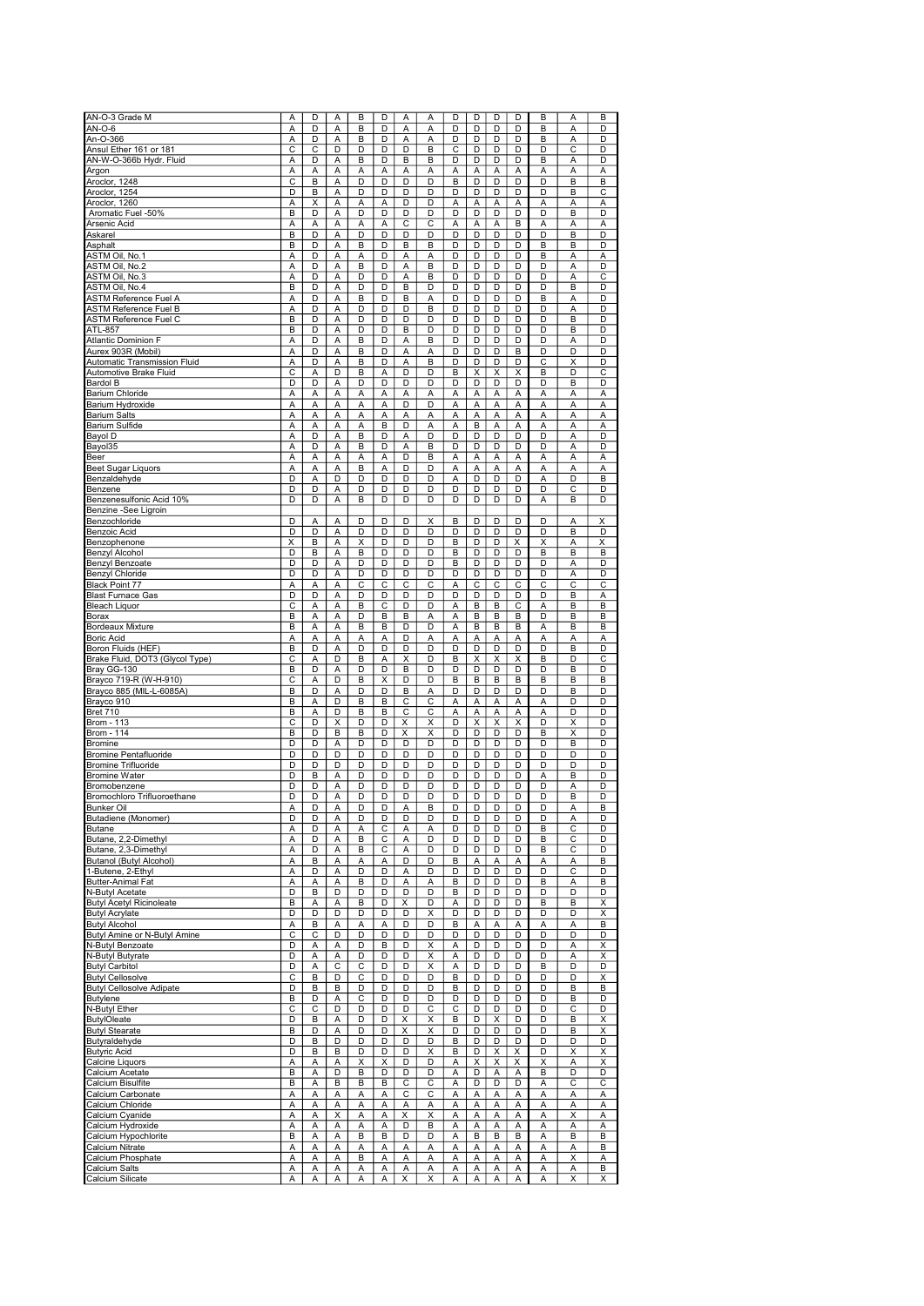| AN-O-3 Grade M                  | Α                       | D                       | A | B | D                       | A | A              | D  | D | D | D                       | B              | Α | B                       |
|---------------------------------|-------------------------|-------------------------|---|---|-------------------------|---|----------------|----|---|---|-------------------------|----------------|---|-------------------------|
|                                 |                         |                         |   |   |                         |   |                |    |   |   |                         |                |   |                         |
| $AN-O-6$                        | A                       | D                       | A | B | D                       | Α | A              | D  | D | D | D                       | B              | А | D                       |
| An-O-366                        | А                       | D                       | Α | B | D                       | Α | A              | D  | D | D | D                       | B              | А | D                       |
| Ansul Ether 161 or 181          | С                       | C                       | D | D | D                       | D | B              | C  | D | D | D                       | D              | C | D                       |
| AN-W-O-366b Hydr. Fluid         | А                       | D                       | Α | B | D                       | в | в              | D  | D | D | D                       | B              | Α | D                       |
| Argon                           | Α                       | Α                       | Α | Α | Α                       | Α | A              | Α  | A | Α | Α                       | Α              | А | Α                       |
| Aroclor, 1248                   | С                       | B                       | Α | D | D                       | D | D              | B  | D | D | D                       | D              | B | B                       |
| Aroclor, 1254                   | D                       | B                       | A | D | D                       | D | D              | D  | D | D | D                       | D              | B | C                       |
| Aroclor, 1260                   | Α                       | X                       | A | Α | A                       | D | D              | Α  | Α | Α | А                       | Α              | A | Α                       |
| Aromatic Fuel -50%              | B                       | D                       | A | D | D                       | D | D              | D  | D | D | D                       | D              | B | D                       |
| Arsenic Acid                    | А                       | Α                       | Α | Α | Α                       | C | C              | Α  | А | Α | B                       | Α              | Α | Α                       |
|                                 | B                       | D                       | Α | D | D                       | D | D              | D  | D | D | D                       | D              | B | D                       |
| Askarel                         |                         |                         |   |   |                         |   |                |    |   |   |                         |                |   |                         |
| Asphalt                         | B                       | D                       | Α | B | D                       | в | B              | D  | D | D | D                       | B              | B | D                       |
| ASTM Oil, No.1                  | Α                       | D                       | Α | Α | D                       | А | Α              | D  | D | D | D                       | B              | Α | Α                       |
| ASTM Oil, No.2                  | А                       | D                       | A | B | D                       | A | B              | D  | D | D | D                       | D              | A | D                       |
| ASTM Oil, No.3                  | Α                       | D                       | A | D | D                       | A | в              | D  | D | D | D                       | D              | А | С                       |
| ASTM Oil. No.4                  | B                       | D                       | Α | D | D                       | B | D              | D  | D | D | D                       | D              | B | D                       |
| <b>ASTM Reference Fuel A</b>    | А                       | D                       | Α | B | D                       | B | Α              | D  | D | D | D                       | B              | Α | D                       |
| <b>ASTM Reference Fuel B</b>    | A                       | D                       | Α | D | D                       | D | B              | D  | D | D | D                       | D              | А | D                       |
| <b>ASTM Reference Fuel C</b>    | B                       | D                       | Α | D | D                       | D | D              | D  | D | D | D                       | D              | B | D                       |
| ATL-857                         | B                       | D                       | Α | D | D                       | В | D              | D  | D | D | D                       | D              | B | D                       |
|                                 |                         |                         |   |   |                         |   |                |    |   |   |                         |                |   |                         |
| <b>Atlantic Dominion F</b>      | А                       | D                       | Α | B | D                       | Α | B              | D  | D | D | D                       | D              | А | D                       |
| Aurex 903R (Mobil)              | А                       | D                       | A | B | D                       | A | A              | D  | D | D | B                       | D              | D | D                       |
| Automatic Transmission Fluid    | A                       | D                       | A | B | D                       | A | B              | D  | D | D | D                       | C              | X | D                       |
| Automotive Brake Fluid          | С                       | A                       | D | B | Α                       | D | D              | B  | Χ | X | X                       | B              | D | C                       |
| Bardol B                        | D                       | D                       | Α | D | D                       | D | D              | D  | D | D | D                       | D              | B | D                       |
| <b>Barium Chloride</b>          | Α                       | Α                       | Α | А | Α                       | Α | Α              | Α  | Α | Α | А                       | Α              | Α | Α                       |
| Barium Hydroxide                | А                       | А                       | Α | Α | Α                       | D | D              | Α  | Α | Α | Α                       | Α              | А | Α                       |
| <b>Barium Salts</b>             | А                       | А                       | Α | Α | Α                       | Α | Α              | Α  | Α | Α | Α                       | Α              | А | Α                       |
| <b>Barium Sulfide</b>           | Α                       | А                       | Α | A | B                       | D | A              | Α  | B | Α | Α                       | A              | А | Α                       |
|                                 |                         | $\overline{\mathsf{D}}$ |   |   |                         |   | $\overline{D}$ | D  |   |   | D                       | $\overline{D}$ |   |                         |
| Bayol D                         | Α                       |                         | Α | B | D                       | Α |                |    | D | D |                         |                | А | D                       |
| Bayol35                         | А                       | D                       | A | B | D                       | Α | B              | D  | D | D | D                       | D              | A | D                       |
| Beer                            | A                       | A                       | A | Α | A                       | D | B              | Α  | Α | Α | Α                       | A              | A | Α                       |
| Beet Sugar Liquors              | Α                       | А                       | Α | B | Α                       | D | D              | Α  | Α | Α | Α                       | Α              | А | Α                       |
| Benzaldehyde                    | D                       | А                       | D | D | D                       | D | D              | Α  | D | D | D                       | Α              | D | B                       |
| Benzene                         | D                       | D                       | Α | D | D                       | D | D              | D  | D | D | D                       | D              | C | D                       |
| Benzenesulfonic Acid 10%        | D                       | D                       | Α | B | D                       | D | D              | D  | D | D | D                       | A              | B | D                       |
| Benzine -See Ligroin            |                         |                         |   |   |                         |   |                |    |   |   |                         |                |   |                         |
|                                 |                         |                         |   |   |                         |   |                |    |   |   |                         |                |   |                         |
| Benzochloride                   | D                       | Α                       | Α | D | D                       | D | X              | B  | D | D | D                       | D              | Α | Χ                       |
| <b>Benzoic Acid</b>             | D                       | D                       | A | D | D                       | D | D              | D  | D | D | D                       | D              | B | D                       |
| Benzophenone                    | X                       | B                       | Α | X | D                       | D | D              | B  | D | D | Χ                       | X              | А | Χ                       |
| <b>Benzyl Alcohol</b>           | D                       | B                       | Α | B | D                       | D | D              | B  | D | D | D                       | B              | B | B                       |
| Benzyl Benzoate                 | D                       | D                       | Α | D | D                       | D | D              | B  | D | D | D                       | D              | Α | D                       |
| Benzyl Chloride                 | D                       | D                       | Α | D | D                       | D | D              | D  | D | D | D                       | D              | А | D                       |
| <b>Black Point 77</b>           | A                       | А                       | A | С | C                       | C | C              | Α  | C | C | C                       | С              | Ċ | C                       |
| Blast Furnace Gas               | D                       | D                       | A | D | D                       | D | D              | D  | D | D | D                       | D              | B | Α                       |
|                                 |                         |                         |   |   |                         |   |                |    |   |   |                         |                |   |                         |
| <b>Bleach Liquor</b>            | $\overline{\mathsf{c}}$ | Α                       | Α | B | $\overline{c}$          | D | D              | Α  | B | B | $\overline{\mathsf{c}}$ | Α              | В | B                       |
| Borax                           | B                       | A                       | Α | D | B                       | в | A              | Α  | B | B | B                       | D              | B | B                       |
| Bordeaux Mixture                | В                       | Α                       | Α | B | В                       | D | D              | Α  | B | B | В                       | Α              | B | B                       |
| Boric Acid                      | А                       | A                       | A | Α | Α                       | D | Α              | А  | Α | Α | Α                       | A              | Α | Α                       |
| Boron Fluids (HEF)              | B                       | D                       | A | D | D                       | D | D              | D  | D | D | D                       | D              | B | D                       |
| Brake Fluid, DOT3 (Glycol Type) | С                       | Α                       | D | B | Α                       | X | D              | B  | Χ | Χ | X                       | B              | D | С                       |
| Bray GG-130                     | B                       | D                       | Α | D | D                       | B | D              | D  | D | D | D                       | D              | B | D                       |
| Brayco 719-R (W-H-910)          | Ċ                       | А                       | D | B | X                       | D | D              | B  | B | B | B                       | B              | B | B                       |
| Brayco 885 (MIL-L-6085A)        | B                       | D                       | Α | D | $\overline{\mathsf{D}}$ | B | Α              | D  | D | D | D                       | D              | B | D                       |
|                                 |                         |                         |   |   |                         |   |                |    |   |   |                         |                |   |                         |
| Brayco 910                      | B                       | А                       | D | B | B                       | C | C              | Α  | Α | Α | Α                       | Α              | D | D                       |
| <b>Bret 710</b>                 | В                       | A                       | D | B | В                       | С | С              | Α  | А | A | Α                       | Α              | D | D                       |
| <b>Brom - 113</b>               | C                       | D                       | X | D | D                       | X | X              | D  | X | X | X                       | D              | X | D                       |
| <b>Brom - 114</b>               | В                       | D                       | в | B | D                       | Χ | X              | D  | D | D | D                       | B              | X | D                       |
| Bromine                         | D                       | D                       | Α | D | D                       | D | D              | D  | D | D | D                       | D              | B | D                       |
| <b>Bromine Pentafluoride</b>    | D                       | D                       | D | D | D                       | D | D              | D  | D | D | D                       | D              | D | D                       |
| <b>Bromine Trifluoride</b>      | D                       | D                       | D | D | D                       | D | D              | D  | D | D | D                       | D              | D | D                       |
| <b>Bromine Water</b>            | D                       | B                       | Α | D | D                       | D | D              | D  | D | D | D                       | Α              | B | D                       |
|                                 |                         |                         |   |   |                         |   |                |    |   |   |                         |                |   |                         |
| Bromobenzene                    | D                       | D                       | A | D | D                       | D | D              | D  | D | D | D                       | D              | A | D                       |
| Bromochloro Trifluoroethane     | D                       | D                       | A | D | D                       | D | D              | D  | D | D | D                       | D              | B | D                       |
| Bunker Oll                      | A                       | D                       | A | D | D                       | А | ь              | IJ | υ | υ | υ                       | D              | A | ь                       |
| Butadiene (Monomer)             | D                       | D                       | Α | D | D                       | D | D              | D  | D | D | D                       | D              | Α | D                       |
| Butane                          | А                       | D                       | Α | А | C                       | Α | Α              | D  | D | D | D                       | В              | С | D                       |
| Butane, 2,2-Dimethyl            | А                       | D                       | А | B | С                       | Α | D              | D  | D | D | D                       | в              | С | D                       |
| Butane, 2,3-Dimethyl            | А                       | D                       | Α | B | C                       | Α | D              | D  | D | D | D                       | B              | С | D                       |
| <b>Butanol (Butyl Alcohol)</b>  | А                       | B                       | Α | Α | Α                       | D | D              | B  | А | Α | Α                       | Α              | Α | B                       |
| 1-Butene, 2-Ethyl               | А                       | D                       | Α | D | D                       | Α | D              | D  | D | D | D                       | D              | С | D                       |
| Butter-Animal Fat               | А                       | Α                       | Α | В | D                       | Α | Α              | B  | D | D | D                       | B              | Α | B                       |
| N-Butyl Acetate                 | D                       | B                       | D | D | D                       | D | D              | B  | D | D | D                       | D              | D | D                       |
|                                 |                         |                         |   |   |                         |   |                |    |   |   |                         |                |   |                         |
| <b>Butyl Acetyl Ricinoleate</b> | В                       | А                       | Α | В | D                       | X | D              | Α  | D | D | D                       | B              | В | X                       |
| <b>Butyl Acrylate</b>           | D                       | D                       | D | D | D                       | D | X              | D  | D | D | D                       | D              | D | Χ                       |
| <b>Butyl Alcohol</b>            | А                       | В                       | Α | Α | А                       | D | D              | В  | А | Α | А                       | Α              | Α | B                       |
| Butyl Amine or N-Butyl Amine    | С                       | С                       | D | D | D                       | D | D              | D  | D | D | D                       | D              | D | D                       |
| N-Butyl Benzoate                | D                       | А                       | Α | D | в                       | D | Χ              | Α  | D | D | D                       | D              | А | Χ                       |
| N-Butyl Butyrate                | D                       | Α                       | Α | D | D                       | D | Χ              | Α  | D | D | D                       | D              | Α | X                       |
| <b>Butyl Carbitol</b>           | D                       | Α                       | С | C | D                       | D | X              | Α  | D | D | D                       | B              | D | D                       |
| <b>Butyl Cellosolve</b>         | С                       | В                       | D | С | D                       | D | D              | В  | D | D | D                       | D              | D | X                       |
| <b>Butyl Cellosolve Adipate</b> | D                       | В                       | В | D | D                       | D | D              | В  | D | D | D                       | D              | В | B                       |
|                                 |                         |                         |   |   |                         |   |                |    |   |   |                         |                |   |                         |
| <b>Butylene</b>                 | В                       | D                       | Α | C | D                       | D | D              | D  | D | D | D                       | D              | В | D                       |
| N-Butyl Ether                   | С                       | С                       | D | D | D                       | D | С              | С  | D | D | D                       | D              | С | D                       |
| <b>ButylOleate</b>              | D                       | B                       | Α | D | D                       | X | X              | B  | D | X | D                       | D              | B | X                       |
| <b>Butyl Stearate</b>           | B                       | D                       | Α | D | D                       | X | X              | D  | D | D | D                       | D              | B | $\overline{\mathsf{x}}$ |
| Butyraldehyde                   | D                       | B                       | D | D | D                       | D | D              | B  | D | D | D                       | D              | D | D                       |
| <b>Butyric Acid</b>             | D                       | В                       | B | D | D                       | D | X              | В  | D | Χ | X                       | D              | Χ | X                       |
| Calcine Liquors                 | А                       | А                       | Α | X | X                       | D | D              | Α  | Χ | Χ | Χ                       | Χ              | Α | X                       |
| Calcium Acetate                 | В                       | А                       | D | В | D                       | D | D              | Α  | D | Α | Α                       | B              | D | D                       |
| Calcium Bisulfite               | В                       | Α                       | в | В | В                       | С | С              | Α  | D | D | D                       | Α              | С | С                       |
|                                 |                         |                         |   |   |                         |   |                |    |   |   |                         |                |   |                         |
| Calcium Carbonate               | А                       | А                       | Α | Α | Α                       | С | С              | Α  | А | Α | Α                       | Α              | Α | А                       |
| Calcium Chloride                | Α                       | А                       | Α | А | Α                       | Α | Α              | Α  | А | Α | А                       | Α              | А | Α                       |
| Calcium Cyanide                 | А                       | А                       | Χ | Α | A                       | Χ | X              | Α  | А | Α | Α                       | A              | Χ | Α                       |
| Calcium Hydroxide               | А                       | Α                       | Α | Α | Α                       | D | B              | Α  | А | Α | А                       | Α              | А | Α                       |
| Calcium Hypochlorite            | В                       | Α                       | Α | В | B                       | D | D              | Α  | В | В | В                       | Α              | В | B                       |
| Calcium Nitrate                 | А                       | А                       | Α | Α | Α                       | Α | Α              | Α  | Α | Α | Α                       | Α              | Α | B                       |
| Calcium Phosphate               | А                       | А                       | Α | В | Α                       | Α | Α              | Α  | Α | Α | Α                       | Α              | Χ | Α                       |
| Calcium Salts                   | А                       | Α                       | Α | А | Α                       | Α | Α              | Α  | А | Α | А                       | Α              | А | В                       |
| Calcium Silicate                | Α                       | Α                       | Α | Α | Α                       | X | Χ              | Α  | Α | Α | Α                       | Α              | Χ | Χ                       |
|                                 |                         |                         |   |   |                         |   |                |    |   |   |                         |                |   |                         |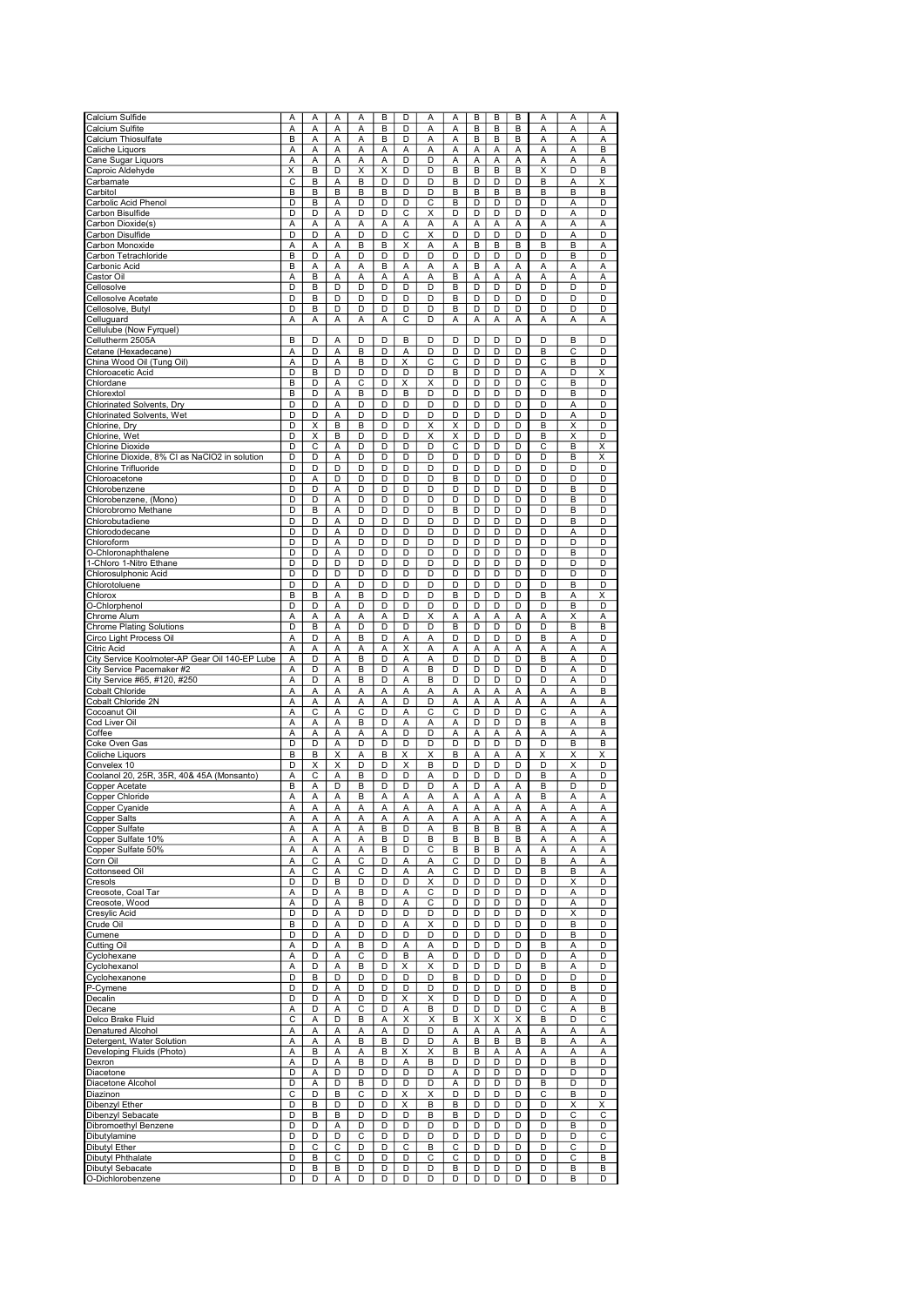| Calcium Sulfide                                | Α | А                       | Α | Α | B              | D                       | Α                       | Α                       | B              | B | B | Α | Α | Α |
|------------------------------------------------|---|-------------------------|---|---|----------------|-------------------------|-------------------------|-------------------------|----------------|---|---|---|---|---|
| Calcium Sulfite                                | Α | Α                       | Α | А | B              | D                       | A                       | Α                       | B              | B | B | Α | Α | A |
| Calcium Thiosulfate                            | B | Α                       | Α | Α | B              | D                       | A                       | Α                       | B              | B | B | Α | Α | A |
|                                                |   |                         |   |   |                |                         |                         |                         |                |   |   |   |   |   |
| Caliche Liquors                                | А | A                       | A | Α | Α              | Α                       | A                       | A                       | Α              | A | Α | A | A | B |
| Cane Sugar Liquors                             | Α | Α                       | A | Α | Α              | D                       | D                       | A                       | Α              | Α | Α | Α | A | Α |
| Caproic Aldehyde                               | X | B                       | D | Χ | Χ              | D                       | D                       | B                       | B              | B | B | X | D | B |
| Carbamate                                      | C | B                       | Α | B | D              | D                       | D                       | B                       | D              | D | D | B | А | Χ |
| Carbitol                                       | B | B                       | B | B | В              | D                       | D                       | B                       | B              | B | B | B | B | B |
| Carbolic Acid Phenol                           | D | B                       | A | D | D              | D                       | С                       | B                       | D              | D | D | D | A | D |
| Carbon Bisulfide                               | D | D                       | Α | D | D              | C                       | х                       | D                       | D              | D | D | D | Α | D |
| Carbon Dioxide(s)                              | Α | A                       | A | A | Α              | A                       | A                       | Α                       | A              | A | Α | A | A | Α |
| Carbon Disulfide                               | D | D                       | A | D | D              | С                       | X                       | D                       | D              | D | D | D | A | D |
| Carbon Monoxide                                | Α | Α                       | Α | В | B              | Χ                       | A                       | Α                       | В              | B | B | B | B | Α |
| Carbon Tetrachloride                           | B | D                       | A | D | D              | D                       | D                       | D                       | D              | D | D | D | B | D |
|                                                |   |                         |   |   |                |                         |                         |                         |                |   |   |   |   |   |
| Carbonic Acid                                  | В | Α                       | Α | Α | B              | Α                       | Α                       | Α                       | B              | Α | А | Α | Α | Α |
| Castor Oil                                     | Α | B                       | Α | А | Α              | Α                       | Α                       | B                       | A              | Α | А | Α | A | Α |
| Cellosolve                                     | D | B                       | D | D | D              | D                       | D                       | B                       | D              | D | D | D | D | D |
| Cellosolve Acetate                             | D | B                       | D | D | D              | D                       | D                       | B                       | D              | D | D | D | D | D |
| Cellosolve, Butyl                              | D | B                       | D | D | D              | D                       | D                       | B                       | D              | D | D | D | D | D |
| Celluguard                                     | Α | Α                       | Α | Α | А              | С                       | D                       | Α                       | Α              | Α | Α | Α | Α | Α |
| Cellulube (Now Fyrquel)                        |   |                         |   |   |                |                         |                         |                         |                |   |   |   |   |   |
| Cellutherm 2505A                               | B | D                       | A | D | D              | B                       | D                       | D                       | D              | D | D | D | B | D |
| Cetane (Hexadecane)                            | Α | D                       | Α | B | D              | А                       | D                       | D                       | D              | D | D | B | С | D |
| China Wood Oil (Tung Oil)                      | Α | D                       | Α | B | D              | Χ                       | С                       | С                       | D              | D | D | С | В | D |
| Chloroacetic Acid                              | D | B                       | D | D | D              | D                       | D                       | B                       | D              | D | D | Α | D | X |
| Chlordane                                      | B | D                       | Α | C | D              | Χ                       | Χ                       | D                       | D              | D | D | C | B | D |
|                                                |   |                         |   |   |                | B                       |                         |                         |                |   |   |   |   |   |
| Chlorextol                                     | B | D                       | A | B | D              |                         | D                       | D                       | D              | D | D | D | B | D |
| Chlorinated Solvents, Dry                      | D | D                       | A | D | D              | D                       | D                       | D                       | D              | D | D | D | Α | D |
| <b>Chlorinated Solvents, Wet</b>               | D | D                       | A | D | D              | D                       | D                       | D                       | D              | D | D | D | A | D |
| Chlorine, Dry                                  | D | Χ                       | в | B | D              | D                       | X                       | X                       | D              | D | D | B | X | D |
| Chlorine, Wet                                  | D | $\overline{\mathsf{x}}$ | B | D | D              | D                       | $\overline{\mathsf{x}}$ | $\overline{\mathsf{x}}$ | D              | D | D | B | Χ | D |
| <b>Chlorine Dioxide</b>                        | D | C                       | Α | D | D              | D                       | D                       | C                       | D              | D | D | C | B | Χ |
| Chlorine Dioxide, 8% CI as NaClO2 in solution  | D | D                       | Α | D | D              | D                       | D                       | D                       | D              | D | D | D | B | X |
| Chlorine Trifluoride                           | D | D                       | D | D | D              | D                       | D                       | D                       | D              | D | D | D | D | D |
| Chloroacetone                                  | D | А                       | D | D | D              | D                       | D                       | B                       | $\overline{D}$ | D | D | D | D | D |
| Chlorobenzene                                  | D | D                       | A | D | D              | D                       | D                       | D                       | D              | D | D | D | B | D |
|                                                |   |                         |   |   |                |                         |                         |                         |                |   |   |   |   |   |
| Chlorobenzene, (Mono)                          | D | D                       | A | D | D              | D                       | D                       | D                       | D              | D | D | D | B | D |
| Chlorobromo Methane                            | D | B                       | Α | D | D              | D                       | D                       | B                       | D              | D | D | D | B | D |
| Chlorobutadiene                                | D | D                       | Α | D | D              | D                       | D                       | D                       | D              | D | D | D | B | D |
| Chlorododecane                                 | D | D                       | А | D | D              | D                       | D                       | D                       | D              | D | D | D | Α | D |
| Chloroform                                     | D | D                       | А | D | D              | D                       | D                       | D                       | D              | D | D | D | D | D |
| O-Chloronaphthalene                            | D | D                       | Α | D | D              | D                       | D                       | D                       | D              | D | D | D | В | D |
| 1-Chloro 1-Nitro Ethane                        | D | D                       | D | D | D              | D                       | D                       | D                       | D              | D | D | D | D | D |
| Chlorosulphonic Acid                           | D | D                       | D | D | D              | D                       | D                       | D                       | D              | D | D | D | D | D |
| Chlorotoluene                                  | D | D                       | Α | D | D              | D                       | D                       | D                       | D              | D | D | D | B | D |
| Chlorox                                        | B | B                       | A | В | D              | D                       | D                       | B                       | D              | D | D | B |   | Χ |
|                                                |   |                         |   |   |                |                         |                         |                         |                |   |   |   | Α |   |
| O-Chlorphenol                                  | D | D                       | Α | D | D              | D                       | D                       | D                       | D              | D | D | D | B | D |
| Chrome Alum                                    | А | Α                       | Α | А | Α              | D                       | X                       | Α                       | Α              | Α | А | Α | Χ | Α |
| <b>Chrome Plating Solutions</b>                | D | B                       | Α | D | D              | D                       | D                       | B                       | D              | D | D | D | В | В |
| Circo Light Process Oil                        | A | D                       | Α | B | D              | А                       | A                       | D                       | D              | D | D | B | Α | D |
| Citric Acid                                    | Α | А                       | Α | Α | $\overline{A}$ | $\overline{\mathsf{x}}$ | A                       | A                       | Α              | Α | Α | Α | Α | Α |
| City Service Koolmoter-AP Gear Oil 140-EP Lube | Α | D                       | A | B | D              | A                       | A                       | D                       | D              | D | D | B | A | D |
| City Service Pacemaker #2                      | Α | D                       | A | B | D              | Α                       | B                       | D                       | D              | D | D | D | Α | D |
| City Service #65, #120, #250                   | A | D                       | A | B | D              | Α                       | B                       | D                       | D              | D | D | D | A | D |
| <b>Cobalt Chloride</b>                         | Α | Α                       | Α | Α | Α              | Α                       | Α                       | Α                       | Α              | Α | Α | Α | Α | B |
| Cobalt Chloride 2N                             | Α | Α                       | Α | Α | Α              | D                       | D                       | Α                       | Α              | Α | Α | Α | Α | Α |
|                                                | Α | С                       | Α | С | D              | Α                       | С                       | C                       | D              | D | D | С |   |   |
| Cocoanut Oil                                   |   |                         |   |   |                |                         |                         |                         |                |   |   |   | А | Α |
| Cod Liver Oil                                  | A | А                       | Α | B | D              | Α                       | Α                       | Α                       | D              | D | D | B | Α | B |
| Coffee                                         | Α | Α                       | Α | Α | Α              | D                       | D                       | А                       | Α              | Α | А | Α | A | Α |
| Coke Oven Gas                                  | D | D                       | A | D | D              | D                       | D                       | D                       | D              | D | D | D | B | B |
| Coliche Liquors                                | B | B                       | Χ | А | B              | Χ                       | X                       | B                       | А              | Α | А | X | X | Х |
| Convelex 10                                    | D | Χ                       | X | D | D              | X                       | B                       | D                       | D              | D | D | D | X | D |
| Coolanol 20, 25R, 35R, 40& 45A (Monsanto)      | Α | С                       | Α | В | D              | D                       | Α                       | D                       | D              | D | D | B | Α | D |
| Copper Acetate                                 | B | Α                       | D | B | D              | D                       | D                       | Α                       | D              | Α | А | B | D | D |
| Copper Chloride                                | Α | Α                       | Α | B | Α              | А                       | Α                       | Α                       | Α              | Α | Α | В | Α | А |
| Copper Cyanıde                                 | A | A                       | Α | А | Α              | A                       | A                       | A                       | А              | Α | А | А | Α | А |
| <b>Copper Salts</b>                            | Α | Α                       | Α | Α | Α              | Α                       | Α                       | Α                       | Α              | A | Α | Α | Α | A |
| Copper Sulfate                                 | А | Α                       | Α | Α | B              | D                       | A                       | B                       | B              | В | B | Α | Α | Α |
|                                                | Α |                         | Α | Α | В              | D                       | B                       | В                       | В              | B | B |   | Α |   |
| Copper Sulfate 10%                             |   | Α                       |   |   |                |                         |                         |                         |                |   |   | Α |   | Α |
| Copper Sulfate 50%                             | А | А                       | Α | Α | В              | D                       | С                       | В                       | В              | B | Α | Α | А | Α |
| Corn Oil                                       | Α | С                       | Α | С | D              | Α                       | Α                       | С                       | D              | D | D | B | Α | Α |
| Cottonseed Oil                                 | Α | С                       | Α | С | D              | Α                       | Α                       | C                       | D              | D | D | B | B | А |
| Cresols                                        | D | D                       | B | D | D              | D                       | X                       | D                       | D              | D | D | D | Χ | D |
| Creosote, Coal Tar                             | А | D                       | Α | В | D              | Α                       | С                       | D                       | D              | D | D | D | Α | D |
| Creosote, Wood                                 | А | D                       | Α | B | D              | Α                       | C                       | D                       | D              | D | D | D | А | D |
| Cresylic Acid                                  | D | D                       | Α | D | D              | D                       | D                       | D                       | D              | D | D | D | X | D |
| Crude Oil                                      | В | D                       | Α | D | D              | Α                       | Х                       | D                       | D              | D | D | D | B | D |
| Cumene                                         | D | D                       | Α | D | D              | D                       | D                       | D                       | D              | D | D | D | B | D |
| Cutting Oil                                    | Α | D                       | Α | В | D              | Α                       | Α                       | D                       | D              | D | D | B | Α | D |
| Cyclohexane                                    | А | D                       | Α | C | D              | В                       | Α                       | D                       | D              | D | D | D | А | D |
| Cyclohexanol                                   | А | D                       | Α | В | D              | X                       | х                       | D                       | D              | D | D | B | Α | D |
| Cyclohexanone                                  | D | B                       | D | D | D              | D                       | D                       | B                       | D              | D | D | D | D | D |
| P-Cymene                                       | D | D                       | Α | D | D              | D                       | D                       | D                       | D              | D | D | D | B | D |
|                                                |   |                         |   |   |                |                         |                         |                         |                |   |   |   |   |   |
| Decalin                                        | D | D                       | Α | D | D              | Χ                       | X                       | D                       | D              | D | D | D | Α | D |
| Decane                                         | А | D                       | Α | С | D              | Α                       | B                       | D                       | D              | D | D | С | Α | В |
| Delco Brake Fluid                              | С | Α                       | D | В | Α              | Χ                       | X                       | В                       | X              | X | X | B | D | С |
| <b>Denatured Alcohol</b>                       | А | Α                       | Α | А | Α              | D                       | D                       | А                       | Α              | Α | А | Α | Α | Α |
| Detergent, Water Solution                      | Α | А                       | А | B | B              | D                       | D                       | А                       | B              | B | B | B | Α | Α |
| Developing Fluids (Photo)                      | А | В                       | Α | А | В              | X                       | X                       | В                       | В              | Α | А | Α | А | Α |
| Dexron                                         | А | D                       | Α | В | D              | Α                       | B                       | D                       | D              | D | D | D | в | D |
| Diacetone                                      | D | Α                       | D | D | D              | D                       | D                       | Α                       | D              | D | D | D | D | D |
| Diacetone Alcohol                              | D | А                       | D | В | D              | D                       | D                       | Α                       | D              | D | D | B | D | D |
| Diazinon                                       | С | D                       | B | С | D              | Χ                       | Χ                       | D                       | D              | D | D | C | B | D |
|                                                | D | B                       | D | D | D              |                         | в                       | в                       | D              | D | D | D | X | X |
| Dibenzyl Ether                                 |   |                         |   |   |                | Χ                       |                         |                         |                |   |   |   |   |   |
| Dibenzyl Sebacate                              | D | B                       | в | D | D              | D                       | B                       | В                       | D              | D | D | D | С | C |
| Dibromoethyl Benzene                           | D | D                       | Α | D | D              | D                       | D                       | D                       | D              | D | D | D | В | D |
| Dibutylamine                                   | D | D                       | D | С | D              | D                       | D                       | D                       | D              | D | D | D | D | C |
| Dibutyl Ether                                  | D | С                       | С | D | D              | С                       | B                       | С                       | D              | D | D | D | С | D |
| Dibutyl Phthalate                              | D | B                       | С | D | D              | D                       | С                       | С                       | D              | D | D | D | С | B |
| Dibutyl Sebacate                               | D | B                       | B | D | D              | D                       | D                       | B                       | D              | D | D | D | B | В |
| O-Dichlorobenzene                              | D | D                       | Α | D | D              | D                       | D                       | D                       | D              | D | D | D | B | D |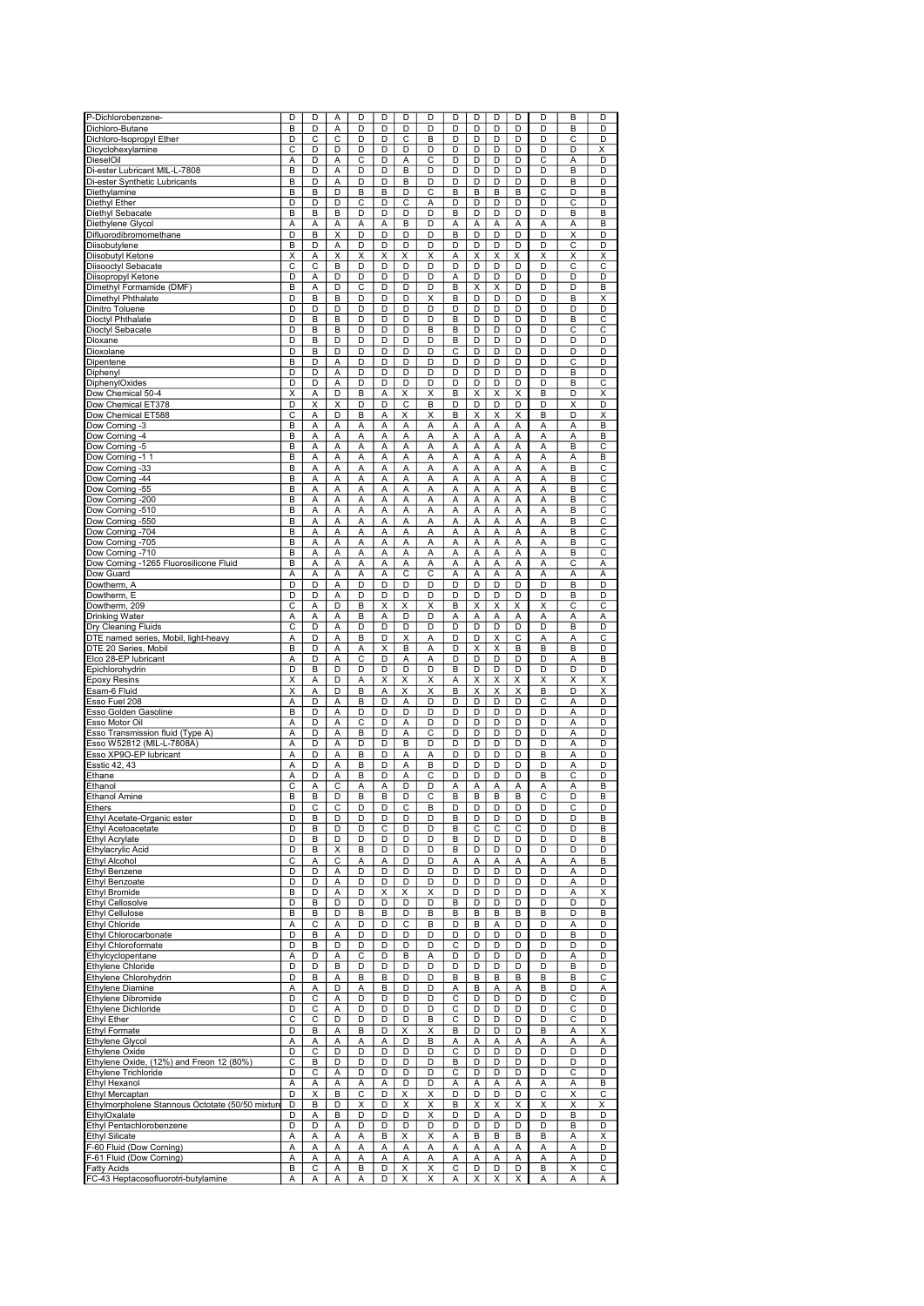| P-Dichlorobenzene-                               | D                       | D | A | D              | D | D                       | D                       | D  | D                       | D                       | D                       | D                       | B  | D                       |
|--------------------------------------------------|-------------------------|---|---|----------------|---|-------------------------|-------------------------|----|-------------------------|-------------------------|-------------------------|-------------------------|----|-------------------------|
|                                                  |                         |   |   |                |   |                         |                         |    |                         |                         |                         |                         |    |                         |
| Dichloro-Butane                                  | B                       | D | Α | D              | D | D                       | D                       | D  | D                       | D                       | D                       | D                       | B  | D                       |
| Dichloro-Isopropyl Ether                         | D                       | С | С | D              | D | С                       | В                       | D  | D                       | D                       | D                       | D                       | С  | D                       |
| Dicyclohexylamine                                | C                       | D | D | D              | D | D                       | D                       | D  | D                       | D                       | D                       | D                       | D  | Χ                       |
| DieselOil                                        | Α                       | D | Α | С              | D | Α                       | C                       | D  | D                       | D                       | D                       | С                       | Α  | D                       |
| Di-ester Lubricant MIL-L-7808                    | B                       | D | Α | D              | D | B                       | D                       | D  | D                       | D                       | D                       | D                       | B  | D                       |
|                                                  |                         |   |   |                |   |                         |                         |    |                         |                         |                         |                         |    |                         |
| Di-ester Synthetic Lubricants                    | B                       | D | A | D              | D | B                       | D                       | D  | D                       | D                       | D                       | D                       | B  | D                       |
| Diethylamine                                     | B                       | B | D | B              | B | D                       | C                       | B  | В                       | B                       | B                       | C                       | D  | B                       |
| Diethyl Ether                                    | D                       | D | D | С              | D | С                       | Α                       | D  | D                       | D                       | D                       | D                       | C  | D                       |
| Diethyl Sebacate                                 | B                       | B | B | D              | D | D                       | D                       | B  | D                       | D                       | D                       | D                       | B  | B                       |
| Diethylene Glycol                                | А                       | А | Α | А              | А | B                       | D                       | Α  | А                       | Α                       | А                       | Α                       | А  | B                       |
|                                                  | D                       | B | X | D              | D | D                       | D                       | B  | D                       | D                       | D                       | D                       | Χ  | D                       |
| Difluorodibromomethane                           |                         |   |   |                |   |                         |                         |    |                         |                         |                         |                         |    |                         |
| Diisobutylene                                    | B                       | D | А | D              | D | D                       | D                       | D  | D                       | D                       | D                       | D                       | C  | D                       |
| Diisobutyl Ketone                                | Χ                       | Α | х | х              | X | X                       | х                       | Α  | X                       | Χ                       | Χ                       | Χ                       | X  | Χ                       |
| Diisooctyl Sebacate                              | C                       | C | B | D              | D | D                       | D                       | D  | D                       | D                       | D                       | D                       | C  | C                       |
| Diisopropyl Ketone                               | D                       | A | D | D              | D | D                       | D                       | Α  | D                       | D                       | D                       | D                       | D  | D                       |
| Dimethyl Formamide (DMF)                         | B                       | A | D | C              | D | D                       | D                       | B  | X                       | Х                       | D                       | D                       | D  | B                       |
| Dimethyl Phthalate                               | D                       | B | в | D              | D | D                       | Χ                       | B  | D                       | D                       | D                       | D                       | B  | Χ                       |
|                                                  |                         |   |   |                |   |                         |                         |    |                         |                         |                         |                         |    |                         |
| Dinitro Toluene                                  | D                       | D | D | D              | D | D                       | D                       | D  | D                       | D                       | D                       | D                       | D  | D                       |
| Dioctyl Phthalate                                | D                       | B | B | D              | D | D                       | D                       | B  | D                       | D                       | D                       | D                       | B  | C                       |
| Dioctyl Sebacate                                 | D                       | B | в | D              | D | D                       | В                       | в  | D                       | D                       | D                       | D                       | С  | С                       |
| Dioxane                                          | D                       | B | D | D              | D | D                       | D                       | B  | D                       | D                       | D                       | D                       | D  | D                       |
| Dioxolane                                        | D                       | B | D | D              | D | D                       | D                       | С  | D                       | D                       | D                       | D                       | D  | D                       |
| Dipentene                                        | B                       | D | Α | D              | D | D                       | D                       | D  | D                       | D                       | D                       | D                       | C  | D                       |
|                                                  |                         |   |   |                |   |                         |                         |    |                         |                         |                         |                         |    |                         |
| Diphenyl                                         | D                       | D | A | D              | D | D                       | D                       | D  | D                       | D                       | D                       | D                       | B  | D                       |
| DiphenylOxides                                   | D                       | D | Α | D              | D | D                       | D                       | D  | D                       | D                       | D                       | D                       | B  | C                       |
| Dow Chemical 50-4                                | X                       | А | D | B              | А | Χ                       | Χ                       | B  | Χ                       | X                       | Х                       | B                       | D  | X                       |
| Dow Chemical ET378                               | D                       | Χ | х | D              | D | С                       | в                       | D  | D                       | D                       | D                       | D                       | X  | D                       |
| Dow Chemical ET588                               | С                       | Α | D | B              | Α | X                       | X                       | B  | X                       | X                       | X                       | B                       | D  | Χ                       |
| Dow Corning -3                                   | B                       | A | Α | А              | Α | A                       | Α                       | Α  | Α                       | A                       | A                       | Α                       | Α  | B                       |
| Dow Corning -4                                   | B                       | А | Α | Α              | Α | Α                       | А                       | А  | Ā                       | Α                       | Α                       | Α                       | A  | B                       |
|                                                  |                         |   |   |                |   |                         |                         |    |                         |                         |                         |                         |    |                         |
| Dow Corning -5                                   | B                       | A | A | Α              | Α | Α                       | Α                       | Α  | Α                       | A                       | A                       | Α                       | B  | С                       |
| Dow Corning -1 1                                 | B                       | Α | A | Α              | A | Α                       | A                       | А  | Α                       | A                       | A                       | A                       | Α  | В                       |
| Dow Corning -33                                  | B                       | Α | Α | Α              | A | Α                       | Α                       | А  | A                       | Α                       | Α                       | Α                       | B  | С                       |
| Dow Corning -44                                  | B                       | Α | Α | Α              | Α | Α                       | А                       | А  | Α                       | Α                       | Α                       | Α                       | B  | С                       |
| Dow Corning -55                                  | B                       | А | Α | А              | А | А                       | Α                       | Α  | А                       | Α                       | А                       | Α                       | B  | С                       |
|                                                  |                         |   |   |                |   |                         |                         |    |                         |                         |                         |                         |    |                         |
| Dow Corning -200                                 | B                       | Α | Α | А              | Α | А                       | Α                       | Α  | Α                       | Α                       | А                       | Α                       | В  | С                       |
| Dow Corning -510                                 | B                       | A | Α | Α              | А | Α                       | Α                       | Α  | A                       | Α                       | Α                       | Α                       | B  | С                       |
| Dow Corning -550                                 | B                       | Α | Α | Α              | Α | Α                       | Α                       | Α  | Ā                       | A                       | Α                       | A                       | B  | $\overline{\text{c}}$   |
| Dow Corning -704                                 | B                       | Α | A | Α              | A | A                       | A                       | A  | Α                       | A                       | Α                       | A                       | B  | C                       |
| Dow Corning -705                                 | B                       | Α | Α | Α              | А | Α                       | A                       | Α  | A                       | Α                       | Α                       | Α                       | B  | С                       |
| Dow Corning -710                                 | B                       | Α | Α | А              | Α | Α                       | Α                       | Α  | A                       | A                       | Α                       | A                       | B  | С                       |
| Dow Corning -1265 Fluorosilicone Fluid           | B                       | Α | Α |                | Α | Α                       | Α                       | Α  | Α                       | Α                       | Α                       | Α                       | С  |                         |
|                                                  |                         |   |   | Α              |   |                         |                         |    |                         |                         |                         |                         |    | Α                       |
| Dow Guard                                        | Α                       | Α | Α | Α              | Α | C                       | C                       | А  | Α                       | Α                       | Α                       | Α                       | Α  | А                       |
| Dowtherm, A                                      | D                       | D | A | D              | D | D                       | D                       | D  | D                       | D                       | D                       | D                       | B  | D                       |
| Dowtherm, E                                      | D                       | D | Α | D              | D | D                       | D                       | D  | D                       | D                       | D                       | D                       | B  | D                       |
| Dowtherm, 209                                    | $\overline{\mathsf{c}}$ | А | D | B              | Χ | Χ                       | X                       | B  | Χ                       | Χ                       | Χ                       | $\overline{\mathsf{x}}$ | С  | С                       |
| Drinking Water                                   | A                       | Α | A | B              | Α | D                       | D                       | Α  | A                       | A                       | A                       | Α                       | A  | Α                       |
| Dry Cleaning Fluids                              | С                       | D | Α | D              | D | D                       | D                       | D  | D                       | D                       | D                       | D                       | B  | D                       |
|                                                  |                         | D |   |                | D |                         |                         |    |                         |                         |                         |                         |    |                         |
| DTE named series, Mobil, light-heavy             | Α                       |   | Α | В              |   | X                       | Α                       | D  | D                       | Χ                       | C                       | Α                       | Α  | С                       |
| DTE 20 Series, Mobil                             | B                       | D | A | А              | Χ | B                       | Α                       | D  | $\overline{\mathsf{x}}$ | $\overline{\mathsf{x}}$ | B                       | B                       | B  | D                       |
| Elco 28-EP lubricant                             | A                       | D | Α | C              | D | Α                       | Α                       | D  | D                       | D                       | D                       | D                       | Α  | B                       |
| Epichlorohydrin                                  | D                       | B | D | D              | D | D                       | D                       | B  | D                       | D                       | D                       | D                       | D  | D                       |
| <b>Epoxy Resins</b>                              | X                       | A | D | Α              | X | X                       | X                       | Α  | Χ                       | X                       | Χ                       | X                       | X  | X                       |
| Esam-6 Fluid                                     | $\overline{\mathsf{x}}$ | Ā | D | $\overline{B}$ | A | $\overline{\mathsf{x}}$ | $\overline{\mathsf{x}}$ | B  | $\overline{\mathsf{x}}$ | $\overline{\mathsf{x}}$ | $\overline{\mathsf{x}}$ | $\overline{B}$          | D  | $\overline{\mathsf{x}}$ |
| Esso Fuel 208                                    | A                       | D |   | B              | D |                         | D                       |    | D                       | D                       | D                       |                         |    | D                       |
|                                                  |                         |   | Α |                |   | Α                       |                         | D  |                         |                         |                         | C                       | Α  |                         |
| Esso Golden Gasoline                             | B                       | D | A | D              | D | D                       | D                       | D  | D                       | D                       | D                       | D                       | Α  | D                       |
| Esso Motor Oil                                   | Α                       | D | A | C              | D | А                       | D                       | D  | D                       | D                       | D                       | D                       | A  | D                       |
| Esso Transmission fluid (Type A)                 | A                       | D | Α | B              | D | Α                       | С                       | D  | D                       | D                       | D                       | D                       | Α  | D                       |
| Esso W52812 (MIL-L-7808A)                        | Α                       | D | Α | D              | D | B                       | D                       | D  | D                       | D                       | D                       | D                       | A  | D                       |
| Esso XP9O-EP lubricant                           | А                       | D | Α | B              | D | Α                       | Α                       | D  | D                       | D                       | D                       | B                       | Α  | D                       |
|                                                  |                         |   |   |                |   |                         |                         |    |                         |                         |                         |                         |    |                         |
| Esstic 42, 43                                    | Α                       | D | Α | B              | D | Α                       | B                       | D  | D                       | D                       | D                       | D                       | Α  | D                       |
| Ethane                                           | A                       | D | Α | B              | D | Α                       | С                       | D  | D                       | D                       | D                       | B                       | C  | D                       |
| Ethanol                                          | C                       | Α | С | Α              | Α | D                       | D                       | Α  | A                       | A                       | Α                       | Α                       | A  | B                       |
| Ethanol Amine                                    | B                       | B | D | B              | B | D                       | С                       | B  | B                       | B                       | B                       | C                       | D  | В                       |
| ⊨tners                                           | D                       |   | C | υ              | D | C                       | ь                       | IJ | υ                       | υ                       | υ                       | IJ                      | t. | υ                       |
| Ethyl Acetate-Organic ester                      | D                       | В | D | D              | D | D                       | D                       | В  | D                       | D                       | D                       | D                       | D  | В                       |
| Ethyl Acetoacetate                               | D                       | В | D | D              | С | D                       | D                       | B  | С                       | C                       | С                       | D                       | D  | В                       |
|                                                  |                         |   |   |                |   |                         |                         |    |                         |                         |                         |                         |    |                         |
| <b>Ethyl Acrylate</b>                            | D                       | В | D | D              | D | D                       | D                       | В  | D                       | D                       | D                       | D                       | D  | в                       |
| Ethylacrylic Acid                                | D                       | B | X | В              | D | D                       | D                       | B  | D                       | D                       | D                       | D                       | D  | D                       |
| <b>Ethyl Alcohol</b>                             | C                       | Α | С | А              | Α | D                       | D                       | Α  | Α                       | Α                       | Α                       | Α                       | А  | B                       |
| <b>Ethyl Benzene</b>                             | D                       | D | Α | D              | D | D                       | D                       | D  | D                       | D                       | D                       | D                       | Α  | D                       |
| Ethyl Benzoate                                   | D                       | D | Α | D              | D | D                       | D                       | D  | D                       | D                       | D                       | D                       | Α  | D                       |
| <b>Ethyl Bromide</b>                             | В                       | D | Α | D              | X | Χ                       | х                       | D  | D                       | D                       | D                       | D                       | Α  | Χ                       |
| <b>Ethyl Cellosolve</b>                          | D                       | B | D | D              | D | D                       | D                       | В  | D                       | D                       | D                       | D                       | D  | D                       |
| Ethyl Cellulose                                  | В                       | В | D | В              | В | D                       | B                       | в  | В                       | в                       | В                       | B                       | D  | в                       |
|                                                  |                         |   |   |                |   |                         |                         |    |                         |                         |                         |                         |    |                         |
| Ethyl Chloride                                   | А                       | С | Α | D              | D | С                       | B                       | D  | В                       | Α                       | D                       | D                       | Α  | D                       |
| Ethyl Chlorocarbonate                            | D                       | В | Α | D              | D | D                       | D                       | D  | D                       | D                       | D                       | D                       | B  | D                       |
| Ethyl Chloroformate                              | D                       | B | D | D              | D | D                       | D                       | С  | D                       | D                       | D                       | D                       | D  | D                       |
| Ethylcyclopentane                                | Α                       | D | Α | С              | D | в                       | Α                       | D  | D                       | D                       | D                       | D                       | Α  | D                       |
| Ethylene Chloride                                | D                       | D | в | D              | D | D                       | D                       | D  | D                       | D                       | D                       | D                       | B  | D                       |
| Ethylene Chlorohydrin                            | D                       | В | Α | В              | в | D                       | D                       | В  | В                       | B                       | В                       | B                       | B  | С                       |
| <b>Ethylene Diamine</b>                          | А                       | А | D | Α              | в | D                       | D                       | Α  | В                       | Α                       | Α                       | В                       | D  | А                       |
|                                                  |                         |   |   |                |   |                         |                         |    |                         |                         |                         |                         |    |                         |
| Ethylene Dibromide                               | D                       | С | Α | D              | D | D                       | D                       | С  | D                       | D                       | D                       | D                       | С  | D                       |
| Ethylene Dichloride                              | D                       | С | Α | D              | D | D                       | D                       | С  | D                       | D                       | D                       | D                       | С  | D                       |
| Ethyl Ether                                      | С                       | С | D | D              | D | D                       | в                       | С  | D                       | D                       | D                       | D                       | С  | D                       |
| <b>Ethyl Formate</b>                             | D                       | B | Α | В              | D | X                       | х                       | B  | D                       | D                       | D                       | B                       | Α  | $\overline{\mathsf{x}}$ |
| Ethylene Glycol                                  | А                       | А | Α | Α              | Α | D                       | B                       | А  | Α                       | Α                       | Α                       | Α                       | A  | A                       |
| Ethylene Oxide                                   | D                       | С | D | D              | D | D                       | D                       | С  | D                       | D                       | D                       | D                       | D  | D                       |
|                                                  |                         |   |   |                |   |                         |                         |    |                         |                         |                         |                         |    |                         |
| Ethylene Oxide, (12%) and Freon 12 (80%)         | С                       | В | D | D              | D | D                       | D                       | В  | D                       | D                       | D                       | D                       | D  | D                       |
| Ethylene Trichloride                             | D                       | С | Α | D              | D | D                       | D                       | С  | D                       | D                       | D                       | D                       | С  | D                       |
| Ethyl Hexanol                                    | Α                       | Α | Α | Α              | Α | D                       | D                       | Α  | Α                       | Α                       | Α                       | Α                       | А  | в                       |
| Ethyl Mercaptan                                  | D                       | Χ | B | С              | D | X                       | X                       | D  | D                       | D                       | D                       | С                       | Χ  | С                       |
| Ethylmorpholene Stannous Octotate (50/50 mixture | D                       | B | D | х              | D | Х                       | х                       | В  | X                       | х                       | х                       | х                       | х  | х                       |
| EthylOxalate                                     | D                       | А | B | D              | D | D                       | X                       | D  | D                       | Α                       | D                       | D                       | B  | D                       |
|                                                  |                         |   |   |                |   |                         |                         |    |                         |                         |                         |                         |    |                         |
| Ethyl Pentachlorobenzene                         | D                       | D | Α | D              | D | D                       | D                       | D  | D                       | D                       | D                       | D                       | В  | D                       |
| <b>Ethyl Silicate</b>                            | А                       | А | Α | А              | В | X                       | Χ                       | Α  | В                       | B                       | В                       | B                       | А  | Χ                       |
| F-60 Fluid (Dow Corning)                         | Α                       | А | Α | Α              | Α | Α                       | Α                       | Α  | Α                       | Α                       | Α                       | Α                       | Α  | D                       |
| F-61 Fluid (Dow Corning)                         | Α                       | А | Α | А              | Α | Α                       | Α                       | Α  | А                       | Α                       | Α                       | Α                       | А  | D                       |
| <b>Fatty Acids</b>                               | В                       | С | Α | В              | D | X                       | X                       | С  | D                       | D                       | D                       | B                       | Χ  | С                       |
| FC-43 Heptacosofluorotri-butylamine              | Α                       | Α | Α | Α              | D | Х                       | Х                       | Α  | X                       | X                       | X                       | Α                       | Α  | Α                       |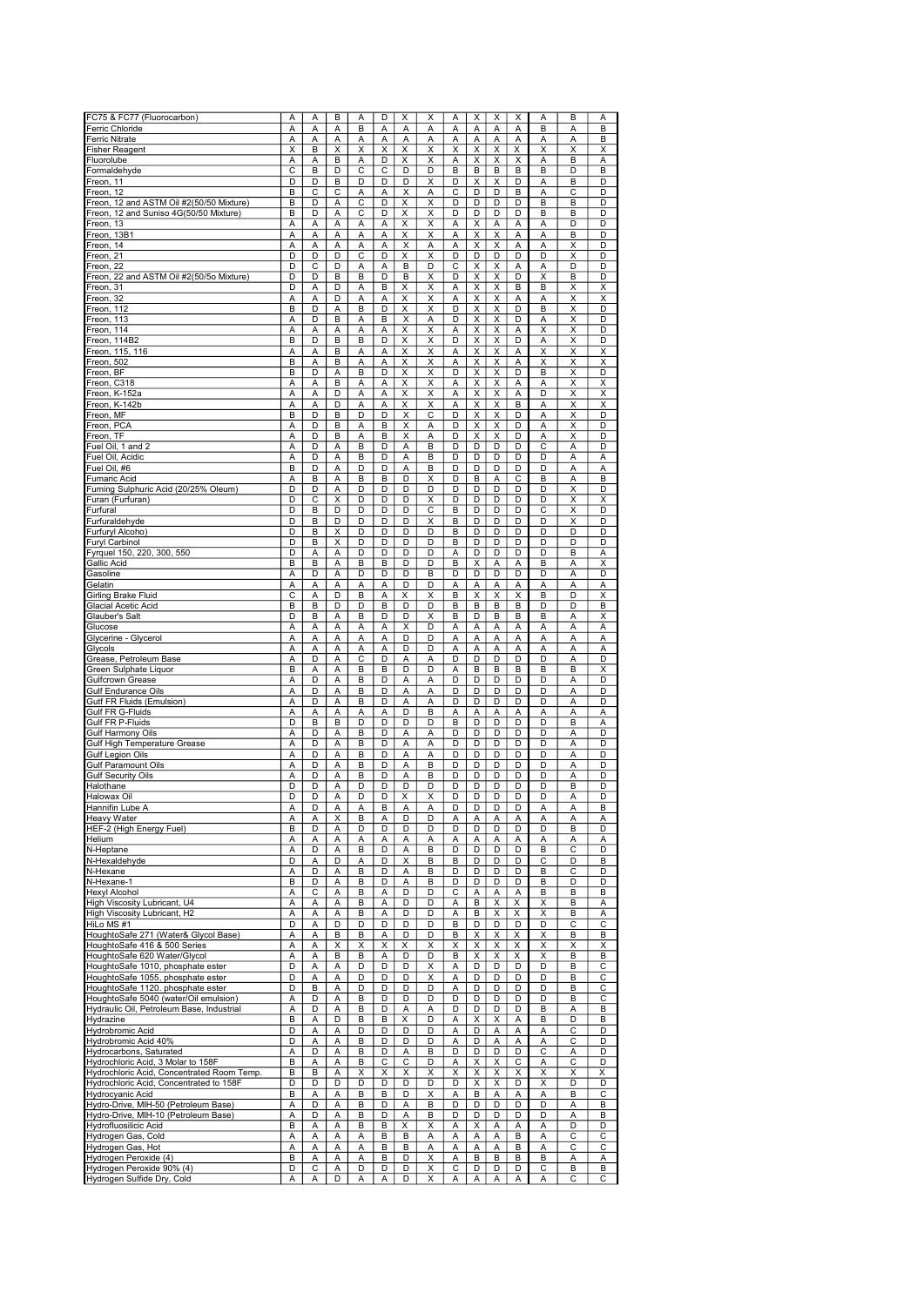| FC75 & FC77 (Fluorocarbon)                                                                                           | Α      | Α      | в      | Α                   | D      | X      | х                       | Α                            | х                                                  | х                            | х                     | Α                            | В      | А      |
|----------------------------------------------------------------------------------------------------------------------|--------|--------|--------|---------------------|--------|--------|-------------------------|------------------------------|----------------------------------------------------|------------------------------|-----------------------|------------------------------|--------|--------|
| Ferric Chloride                                                                                                      | Α      | Α      | Α      | B                   | Α      | Α      | Α                       | A                            | Α                                                  | Α                            | А                     | B                            | A      | B      |
| <b>Ferric Nitrate</b>                                                                                                | Α      | A      | A      | Α                   | Α      | А      | A                       | A                            | Α                                                  | A                            | Α                     | Α                            | A      | B      |
| Fisher Reagent                                                                                                       | X      | B      | X      | X                   | X      | Χ      | X                       | Χ                            | X                                                  | X                            | Χ                     | X                            | X      | X      |
| Fluorolube                                                                                                           | Α      | Α      | B      | Α                   | D      | Χ      | X                       | A                            | X                                                  | Χ                            | Χ                     | Α                            | B      | Α      |
| Formaldehyde                                                                                                         | C      | B      | D      | C                   | С      | D      | D                       | B                            | B                                                  | B                            | B                     | B                            | D      | B      |
| Freon, 11                                                                                                            | D      | D      | B      | D                   | D      | D      | Χ                       | D                            | Χ                                                  | Χ                            | D                     | Α                            | B      | D      |
| Freon, 12                                                                                                            | B      | С      | С      | Α                   | Α      | X      | Α                       | C                            | D                                                  | D                            | B                     | Α                            | С      | D      |
| Freon, 12 and ASTM Oil #2(50/50 Mixture)                                                                             | B      | D      | A      | C                   | D      | X      | X                       | D                            | D                                                  | D                            | D                     | B                            | B      | D      |
| Freon, 12 and Suniso 4G(50/50 Mixture)                                                                               | B      | D      | A      | C                   | D      | X      | Χ                       | D                            | D                                                  | D                            | D                     | B                            | B      | D      |
| Freon, 13                                                                                                            | A      | Α      | Α      | A                   | Α      | X      | X                       | Α                            | X                                                  | Α                            | А                     | Α                            | D      | D      |
| Freon, 13B1                                                                                                          | Α      | Α      | A      | Α                   | Α      | Χ      | X                       | Α                            | X                                                  | Χ                            | А                     | Α                            | B      | D      |
| Freon, 14                                                                                                            | А      | Α      | A      | А                   | Α      | Χ      | A                       | Α                            | Χ                                                  | Χ                            | Α                     | A                            | Χ      | D      |
| Freon, 21                                                                                                            | D      | D      | D      | С                   | D      | X      | X                       | D                            | D                                                  | D                            | D                     | D                            | X      | D      |
| Freon, 22<br>Freon, 22 and ASTM Oil #2(50/5o Mixture)                                                                | D<br>D | C<br>D | D      | А                   | Α<br>D | B      | D                       | C<br>D                       | X<br>X                                             | Χ                            | Α<br>D                | Α                            | D      | D<br>D |
| Freon, 31                                                                                                            | D      | Α      | B<br>D | B<br>А              | В      | B<br>X | Χ<br>х                  | Α                            | X                                                  | Χ<br>X                       | B                     | Χ<br>B                       | B<br>X | х      |
| Freon, 32                                                                                                            | А      | Α      | D      | А                   | Α      | Χ      | X                       | Α                            | $\overline{\mathsf{x}}$                            | Χ                            | А                     | Α                            | Χ      | Χ      |
| Freon, 112                                                                                                           | B      | D      | A      | B                   | D      | Χ      | X                       | D                            | X                                                  | X                            | D                     | $\overline{\mathsf{B}}$      | X      | D      |
| Freon, 113                                                                                                           | Α      | D      | B      | Α                   | В      | Χ      | Α                       | D                            | X                                                  | Χ                            | D                     | Α                            | X      | D      |
| Freon, 114                                                                                                           | Α      | Α      | Α      | Α                   | Α      | X      | Χ                       | A                            | X                                                  | Χ                            | Α                     | Χ                            | Χ      | D      |
| Freon, 114B2                                                                                                         | B      | D      | B      | B                   | D      | Χ      | $\overline{\mathsf{x}}$ | D                            | Χ                                                  | Χ                            | D                     | Ā                            | X      | D      |
| Freon, 115, 116                                                                                                      | A      | Α      | B      | А                   | Α      | Χ      | Χ                       | Α                            | X                                                  | Χ                            | Α                     | Х                            | Χ      | Χ      |
| Freon, 502                                                                                                           | B      | Α      | В      | Α                   | А      | X      | х                       | Α                            | X                                                  | X                            | Α                     | Χ                            | X      | х      |
| Freon, BF                                                                                                            | B      | D      | A      | B                   | D      | X      | X                       | D                            | X                                                  | Χ                            | D                     | B                            | Χ      | D      |
| Freon, C318                                                                                                          | Α      | Α      | B      | Α                   | Α      | X      | Χ                       | A                            | $\overline{\mathsf{x}}$                            | X                            | Α                     | Α                            | Χ      | X      |
| Freon, K-152a                                                                                                        | A      | А      | D      | Α                   | Α      | X      | X                       | Α                            | X                                                  | Х                            | А                     | D                            | X      | X      |
| Freon, K-142b                                                                                                        | Α      | Α      | D      | А                   | Α      | Χ      | X                       | Α                            | X                                                  | Χ                            | B                     | Α                            | Χ      | Х      |
| Freon, MF                                                                                                            | B      | D      | B      | D                   | D      | X      | C                       | D                            | Χ                                                  | X                            | D                     | A                            | X      | D      |
| Freon, PCA                                                                                                           | Α      | D      | В      | Α                   | B      | Χ      | Α                       | D                            | $\overline{\mathsf{x}}$<br>$\overline{\mathsf{x}}$ | Χ                            | D                     | Α                            | X      | D      |
| Freon, TF<br>Fuel Oil, 1 and 2                                                                                       | Α      | D<br>D | B      | Α                   | В<br>D | X      | Α                       | D<br>D                       | D                                                  | $\overline{\mathsf{x}}$<br>D | D<br>D                | Α<br>C                       | Χ      | D<br>D |
| Fuel Oil, Acidic                                                                                                     | А<br>Α | D      | Α<br>Α | В<br>B              | D      | Α<br>Α | В<br>B                  | D                            | D                                                  | D                            | D                     | D                            | А<br>Α | А      |
| Fuel Oil, #6                                                                                                         | B      | D      | Α      | D                   | D      | Α      | B                       | D                            | D                                                  | D                            | D                     | D                            | A      | Α      |
| <b>Fumaric Acid</b>                                                                                                  | Α      | B      | Α      | B                   | B      | D      | х                       | D                            | B                                                  | Α                            | $\overline{\text{c}}$ | B                            | Α      | B      |
| Fuming Sulphuric Acid (20/25% Oleum)                                                                                 | D      | D      | A      | D                   | D      | D      | D                       | D                            | D                                                  | D                            | D                     | D                            | X      | D      |
| Furan (Furfuran)                                                                                                     | D      | C      | X      | D                   | D      | D      | X                       | D                            | D                                                  | D                            | D                     | D                            | X      | X      |
| Furfural                                                                                                             | D      | B      | D      | D                   | D      | D      | С                       | B                            | D                                                  | D                            | D                     | Ċ                            | Χ      | D      |
| Furfuraldehyde                                                                                                       | D      | B      | D      | D                   | D      | D      | X                       | B                            | D                                                  | D                            | D                     | D                            | Χ      | D      |
| Furfuryl Alcoho)                                                                                                     | D      | B      | X      | D                   | D      | D      | D                       | B                            | D                                                  | D                            | D                     | D                            | D      | D      |
| Furyl Carbinol                                                                                                       | D      | B      | X      | D                   | D      | D      | D                       | B                            | D                                                  | D                            | D                     | D                            | D      | D      |
| Fyrguel 150, 220, 300, 550                                                                                           | D      | Α      | Α      | D                   | D      | D      | D                       | Α                            | D                                                  | D                            | D                     | D                            | B      | Α      |
| Gallic Acid                                                                                                          | B      | B      | A      | B                   | B      | D      | D                       | B                            | X                                                  | Α                            | А                     | B                            | Α      | X      |
| Gasoline                                                                                                             | Α      | D      | A      | D                   | D      | D      | B                       | D                            | D                                                  | D                            | D                     | D                            | A      | D      |
| Gelatin                                                                                                              | A      | А      | Α      | Α                   | Α      | D      | D                       | Α                            | Α                                                  | Α                            | Α                     | Α                            | A      | А      |
| Girling Brake Fluid                                                                                                  | С      | A      | D      | B                   | А      | X      | X                       | B                            | X                                                  | Χ                            | Χ                     | B                            | D      | X      |
| Glacial Acetic Acid                                                                                                  | В      | B      | D      | D                   | В      | D      | D                       | B                            | B                                                  | В                            | В                     | D                            | D      | B      |
| Glauber's Salt                                                                                                       | D      | B      | Α      | B                   | D      | D      | X                       | B                            | D                                                  | B                            | B                     | B                            | A      | X      |
| Glucose<br>Glycerine - Glycerol                                                                                      | Α<br>Α | Α<br>А | Α<br>A | А<br>А              | А<br>А | x<br>D | D<br>D                  | Α<br>A                       | Α<br>Α                                             | Α<br>Α                       | А<br>Α                | А<br>Α                       | Α<br>A | А<br>Α |
| Glycols                                                                                                              | Α      | А      | Α      | Ā                   | Ā      | D      | D                       | A                            | Α                                                  | Ā                            | A                     | Α                            | A      | Α      |
| Grease, Petroleum Base                                                                                               | A      | D      | Α      | С                   | D      | А      | Α                       | D                            | D                                                  | D                            | D                     | D                            | A      | D      |
| Green Sulphate Liquor                                                                                                | B      | A      | A      | В                   | В      | D      | D                       | A                            | B                                                  | B                            | B                     | B                            | B      | X      |
| Gulfcrown Grease                                                                                                     | А      | D      | A      | B                   | D      | А      | Α                       | D                            | D                                                  | D                            | D                     | D                            | Α      | D      |
| <b>Gulf Endurance Oils</b>                                                                                           | Α      | D      | Α      | B                   | D      | Α      | Α                       | D                            | D                                                  | D                            | D                     | D                            | Α      | D      |
| Gutf FR Fluids (Emulsion)                                                                                            | Α      | D      | Α      | B                   | D      | Α      | Α                       | D                            | D                                                  | D                            | D                     | D                            | Α      | D      |
|                                                                                                                      | Α      | Α      | A      | Α                   | А      | D      | B                       | Α                            | Α                                                  | Α                            | А                     | Α                            | A      | Α      |
| Gulf FR G-Fluids<br>Gulf FR P-Fluids                                                                                 | D      | B      | B      | D                   | D      | D      | D                       | B                            | D                                                  | D                            | D                     | D                            | B      | А      |
| <b>Gulf Harmony Oils</b>                                                                                             | Α      | D      | Α      | B                   | D      | А      | Α                       | D                            | D                                                  | D                            | D                     | D                            | A      | D      |
| Gulf High Temperature Grease                                                                                         | Α      | D      | A      | B                   | D      | А      | A                       | D                            | D                                                  | D                            | D                     | D                            | Α      | D      |
| Gulf Legion Oils<br>Gulf Paramount                                                                                   | Α      | D      | Α      | B                   | D      | Α      | A                       | D                            | D                                                  | D                            | D                     | D                            | A      | D      |
| Gulf Paramount Oils                                                                                                  | Α      | D      | A      | B                   | D      | А      | B                       | D                            | D                                                  | D                            | D                     | D                            | A      | D      |
| Gulf Security Oils                                                                                                   | А      | D      | Α      | B                   | D      | А      | B                       | D                            | D                                                  | D                            | D                     | D                            | A      | D      |
| Halothane                                                                                                            | D      | D      | A      | D<br>D              | D      | D<br>X | D                       | D                            | D                                                  | D                            | D                     | D<br>D                       | B      | D<br>D |
| Halowax Oil                                                                                                          | D      | D<br>D | Α<br>A |                     | D      |        | Χ<br>A                  | D<br>D                       | D<br>υ                                             | D<br>D                       | D                     |                              | Α<br>Α |        |
| Hannıfın Lube A<br><b>Heavy Water</b>                                                                                | А<br>A | Α      | X      | Α<br>$\overline{B}$ | в<br>Α | А<br>D | D                       | Α                            | Α                                                  | A                            | υ<br>Α                | A<br>A                       | Α      | в<br>A |
| HEF-2 (High Energy Fuel)                                                                                             | B      | D      | Α      | D                   | D      | D      | D                       | D                            | D                                                  | D                            | D                     | D                            | B      | D      |
| Helium                                                                                                               | А      | Α      | Α      | Α                   | А      | Α      | Α                       | Α                            | Α                                                  | Α                            | Α                     | Α                            | Α      | А      |
| N-Heptane                                                                                                            | А      | D      | Α      | В                   | D      | Α      | B                       | D                            | D                                                  | D                            | D                     | B                            | С      | D      |
| N-Hexaldehyde                                                                                                        | D      | Α      | D      | Α                   | D      | X      | B                       | B                            | D                                                  | D                            | D                     | С                            | D      | B      |
| N-Hexane                                                                                                             | Α      | D      | Α      | В                   | D      | А      | B                       | D                            | D                                                  | D                            | D                     | B                            | C      | D      |
| N-Hexane-1                                                                                                           | B      | D      | Α      | B                   | D      | А      | B                       | D                            | D                                                  | D                            | D                     | B                            | D      | D      |
| <b>Hexyl Alcohol</b>                                                                                                 | Α      | С      | Α      | B                   | Α      | D      | D                       | С                            | Α                                                  | A                            | Α                     | B                            | В      | В      |
| High Viscosity Lubricant, U4                                                                                         | А      | А      | Α      | B                   | А      | D      | D                       | Α                            | B                                                  | Χ                            | Χ                     | Х                            | В      | Α      |
| High Viscosity Lubricant, H2                                                                                         | Α      | Α      | Α      | B                   | А      | D      | D                       | Α                            | В                                                  | Χ                            | Χ                     | Χ                            | B      | Α      |
| HiLo MS #1<br>HoughtoSafe 271 (Water& Glycol Base)                                                                   | D      | А      | D      | D                   | D      | D      | D<br>D                  | B                            | D                                                  | D                            | D<br>X                | D                            | С      | С      |
| HoughtoSafe 416 & 500 Series                                                                                         | А<br>A | А<br>А | В<br>X | В<br>Χ              | А<br>Χ | D<br>X | Χ                       | в<br>$\overline{\mathsf{x}}$ | X<br>$\overline{\mathsf{x}}$                       | Χ<br>$\overline{\mathsf{x}}$ | Χ                     | Χ<br>$\overline{\mathsf{x}}$ | B<br>Χ | B<br>Χ |
| HoughtoSafe 620 Water/Glycol                                                                                         | А      | Α      | B      | В                   | А      | D      | D                       | В                            | X                                                  | Χ                            | Χ                     | Χ                            | B      | В      |
| HoughtoSafe 1010, phosphate ester                                                                                    | D      | А      | Α      | D                   | D      | D      | X                       | Α                            | D                                                  | D                            | D                     | D                            | В      | С      |
| HoughtoSafe 1055, phosphate ester                                                                                    | D      | Α      | A      | D                   | D      | D      | X                       | Α                            | D                                                  | D                            | D                     | D                            | B      | C      |
| HoughtoSafe 1120. phosphate ester                                                                                    | D      | B      | Α      | D                   | D      | D      | D                       | Α                            | D                                                  | D                            | D                     | D                            | B      | C      |
| HoughtoSafe 5040 (water/Oil emulsion)                                                                                | А      | D      | Α      | B                   | D      | D      | D                       | D                            | D                                                  | D                            | D                     | D                            | B      | С      |
| Hydraulic Oil, Petroleum Base, Industrial                                                                            | А      | D      | Α      | В                   | D      | Α      | Α                       | D                            | D                                                  | D                            | D                     | В                            | Α      | В      |
| Hydrazine                                                                                                            | B      | А      | D      | В                   | В      | Χ      | D                       | Α                            | Х                                                  | X                            | А                     | B                            | D      | В      |
| Hydrobromic Acid                                                                                                     | D      | А      | Α      | D                   | D      | D      | D                       | А                            | D                                                  | Α                            | А                     | Α                            | С      | D      |
| Hydrobromic Acid 40%                                                                                                 | D      | Α      | Α      | B                   | D      | D      | D                       | Α                            | D                                                  | Α                            | Α                     | Α                            | С      | D      |
| Hydrocarbons, Saturated                                                                                              | А      | D      | Α      | В                   | D      | А      | В                       | D                            | D                                                  | D                            | D                     | С                            | А      | D      |
| Hydrochloric Acid, 3 Molar to 158F                                                                                   | B      | Α      | Α      | B                   | С      | С      | D                       | Α                            | X                                                  | X                            | С                     | Α                            | С      | D      |
| Hydrochloric Acid, Concentrated Room Temp.                                                                           | В      | B      | Α      | Χ                   | Χ      | X      | Χ                       | X                            | Х                                                  | Χ                            | Χ                     | Х                            | Χ      | Χ      |
| Hydrochloric Acid, Concentrated to 158F                                                                              | D      | D      | D      | D                   | D      | D      | D                       | D                            | X                                                  | X                            | D                     | Χ                            | D      | D      |
|                                                                                                                      | B      | А      | Α      | В                   | В      | D      | Χ                       | Α                            | В                                                  | Α                            | А                     | Α                            | B      | С      |
| Hydrocyanic Acid<br>Hydrocyanic Acid<br>Hydro-Drive, MIH-50 (Petroleum Base)<br>Hydro-Drive, MIH-10 (Petroleum Base) | Α<br>A | D<br>D | Α      | В<br>В              | D<br>D | Α      | B<br>B                  | D                            | D<br>D                                             | D<br>D                       | D<br>D                | D<br>D                       | Α      | B      |
| Hydrofluosilicic Acid                                                                                                | B      | А      | Α<br>Α | В                   | В      | Α<br>x | X                       | D<br>Α                       | X                                                  | Α                            | А                     | Α                            | А<br>D | В<br>D |
| Hydrogen Gas, Cold                                                                                                   | Α      | Α      | Α      | А                   | В      | в      | Α                       | Α                            | Α                                                  | Α                            | в                     | Α                            | С      | С      |
| Hydrogen Gas, Hot                                                                                                    | Α      | А      | Α      | А                   | В      | В      | A                       | А                            | Α                                                  | Α                            | B                     | Α                            | С      | С      |
| Hydrogen Peroxide (4)                                                                                                | B      | А      | Α      | Α                   | в      | D      | X                       | Α                            | В                                                  | B                            | В                     | B                            | Α      | А      |
| Hydrogen Peroxide 90% (4)<br>Hydrogen Sulfide Dry, Cold                                                              | D      | С      | Α      | D                   | D      | D      | X                       | C                            | D                                                  | D                            | D                     | С                            | B      | В      |
|                                                                                                                      | А      | Α      | D      | А                   | Α      | D      | X                       | Α                            | Α                                                  | Α                            | Α                     | Α                            | С      | С      |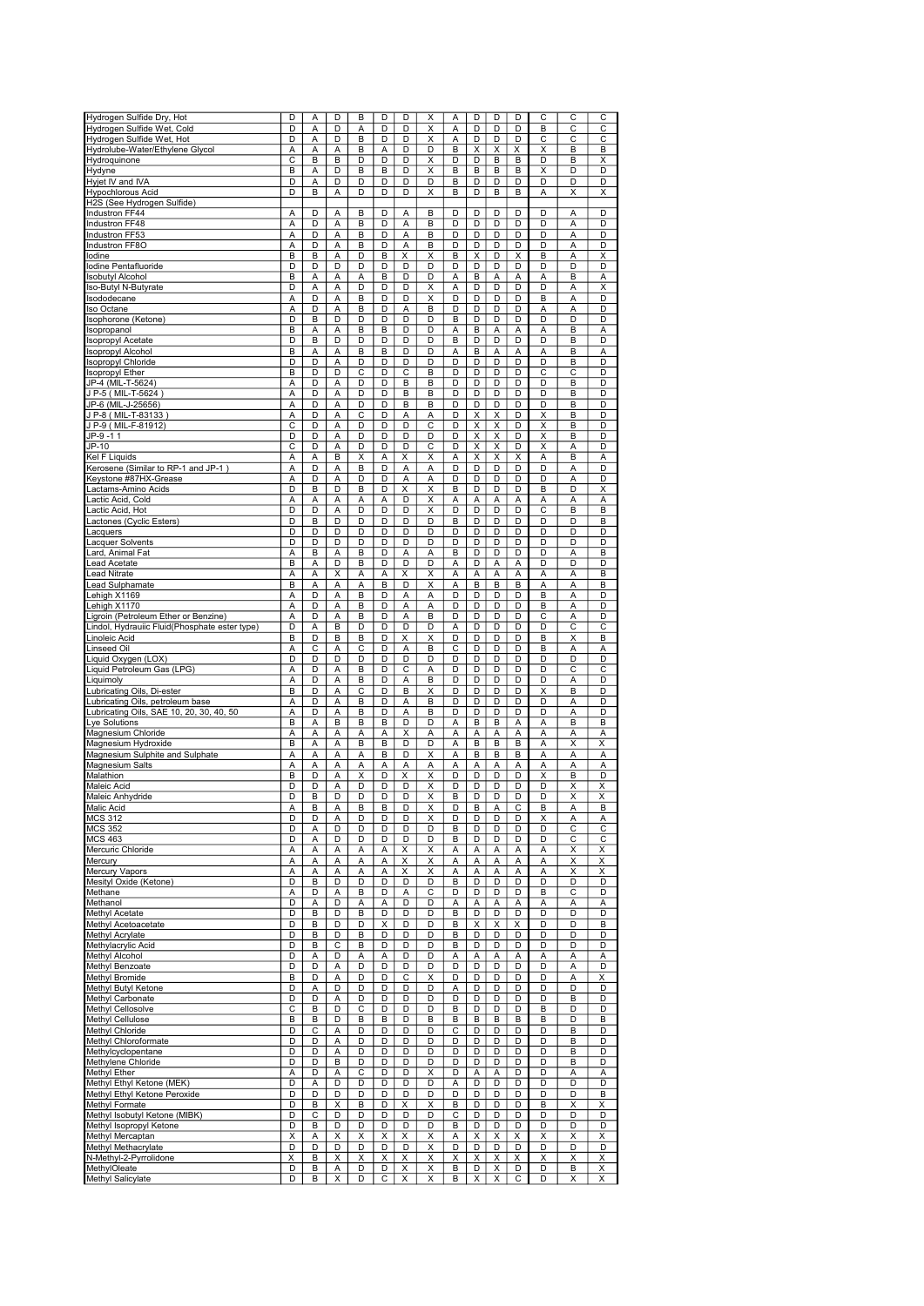|                                                                    | D | A      | D      | B | D | D                       | X                       | A                       | D                       | D                       | D | С                       | С | C |
|--------------------------------------------------------------------|---|--------|--------|---|---|-------------------------|-------------------------|-------------------------|-------------------------|-------------------------|---|-------------------------|---|---|
| Hydrogen Sulfide Dry, Hot<br>Hydrogen Sulfide Wet, Cold            | D | Α      | D      | Α | D | D                       | Χ                       | Α                       | D                       | D                       | D | B                       | С | С |
| Hydrogen Sulfide Wet, Hot                                          | D | Α      | D      | В | D | D                       | X                       | Α                       | D                       | D                       | D | C                       | С | С |
| Hydrolube-Water/Ethylene Glycol                                    | Α |        |        | B | Α | D                       |                         | B                       | X                       | X                       | Χ | X                       | B |   |
|                                                                    |   | Α<br>B | Α<br>B | D | D | D                       | D<br>X                  | D                       | D                       |                         |   | D                       | B | В |
| Hydroquinone                                                       | С |        |        |   |   |                         |                         |                         |                         | B                       | B |                         |   | X |
| Hydyne                                                             | B | А      | D      | B | B | D                       | Χ                       | B                       | B                       | B                       | B | Χ                       | D | D |
|                                                                    | D | А      | D      | D | D | D                       | D                       | B                       | D                       | D                       | D | D                       | D | D |
|                                                                    | D | B      | A      | D | D | D                       | Χ                       | B                       | D                       | B                       | B | Α                       | X | Χ |
| Hyjet IV and IVA<br>Hyjet IV and IVA<br>H2S (See Hydrogen Sulfide) |   |        |        |   |   |                         |                         |                         |                         |                         |   |                         |   |   |
| Industron FF44                                                     | Α | D      | A      | B | D | А                       | B                       | D                       | D                       | D                       | D | D                       | A | D |
| Industron FF48                                                     | A | D      | Α      | B | D | А                       | B                       | D                       | D                       | D                       | D | D                       | A | D |
| Industron FF53                                                     | А | D      | Α      | B | D | А                       | B                       | D                       | D                       | D                       | D | D                       | A | D |
| Industron FF8O                                                     | Α | D      | Α      | B | D | Α                       | В                       | D                       | D                       | D                       | D | D                       | Α | D |
| lodine                                                             | B | B      | A      | D | B | X                       | X                       | B                       | X                       | D                       | Χ | B                       | Α | X |
| lodine Pentafluoride                                               | D | D      | D      | D | D | D                       | D                       | D                       | D                       | D                       | D | D                       | D | D |
| Isobutyl Alcohol                                                   | B | А      | Α      | Α | В | D                       | D                       | Α                       | B                       | Α                       | Α | Α                       | B | А |
| Iso-Butyl N-Butyrate                                               | D | A      | A      | D | D | D                       | X                       | A                       | D                       | D                       | D | D                       | Α | X |
| Isododecane                                                        | A | D      | Α      | B | D | D                       | $\overline{\mathsf{x}}$ | D                       | D                       | D                       | D | B                       | A | D |
| Iso Octane                                                         | А | D      | Α      | B | D | Α                       | B                       | D                       | D                       | D                       | D | Α                       | A | D |
| Isophorone (Ketone)                                                | D | В      | D      | D | D | D                       | D                       | в                       | D                       | D                       | D | D                       | D | D |
| Isopropanol                                                        | B | А      | A      | B | B | D                       | D                       | Α                       | B                       | Α                       | А | Α                       | B | Α |
| Isopropyl Acetate                                                  | D | B      | D      | D | D | D                       | D                       | B                       | D                       | D                       | D | D                       | B | D |
| sopropyl Alcohol                                                   | B | А      | Α      | B | B | D                       | D                       | Α                       | B                       | Α                       | А | А                       | B | Α |
| Isopropyl Chloride                                                 | D | D      | A      | D | D | D                       | D                       | D                       | D                       | D                       | D | D                       | B | D |
| sopropyl Ether                                                     | B | D      | D      | С | D | С                       | B                       | D                       | D                       | D                       | D | C                       | C | D |
| JP-4 (MIL-T-5624)                                                  | Α | D      | A      | D | D | B                       | B                       | D                       | D                       | D                       | D | D                       | B | D |
| JP-4 (MIL-1-5624)<br>J P-5 (MIL-T-5624)                            | Α | D      | Α      | D | D | В                       | В                       | D                       | D                       | D                       | D | D                       | B | D |
| JP-6 (MIL-J-25656)                                                 | А | D      | Α      | D | D | В                       | B                       | D                       | D                       | D                       | D | D                       | B | D |
| J P-8 ( MIL-T-83133 )                                              | Α | D      | Α      | С | D | Α                       | Α                       | D                       | X                       | Χ                       | D | X                       | В | D |
| J P-9 (MIL-F-81912)                                                | C | D      | Α      | D | D | D                       | C                       | D                       | X                       | X                       | D | X                       | B | D |
| $JP-9 -11$                                                         | D | D      | Α      | D | D | D                       | D                       | D                       | $\overline{\mathsf{x}}$ | $\overline{\mathsf{x}}$ | D | $\overline{\mathsf{x}}$ | B | D |
| JP-10                                                              | С | D      | A      | D | D | D                       | C                       | D                       | X                       | X                       | D | X                       | A | D |
| Kel F Liquids                                                      | Α | Α      | B      | Χ | Α | X                       | X                       | Α                       | X                       | Χ                       | Х | Α                       | B | Α |
| Kerosene (Similar to RP-1 and JP-1                                 | A | D      | Α      | B | D | A                       | A                       | D                       | D                       | D                       | D | D                       | Α | D |
| Keystone #87HX-Grease                                              | Α | D      | A      | D | D | А                       | A                       | D                       | D                       | D                       | D | D                       | A | D |
| _actams-Amino Acids                                                | D | B      | D      | B | D | $\overline{\mathsf{x}}$ | X                       | B                       | D                       | D                       | D | B                       | D | X |
| Lactic Acid, Cold                                                  | Α | A      | A      | Α | A | D                       | X                       | A                       | A                       | Α                       | А | Α                       | A | Α |
| Lactic Acid, Hot                                                   | D | D      | A      | D | D | D                       | X                       | D                       | D                       | D                       | D | C                       | B | B |
| actones (Cyclic Esters)                                            | D | B      | D      | D | D | D                       | D                       | B                       | D                       | D                       | D | D                       | D | B |
| acquers                                                            | D | D      | D      | D | D | D                       | D                       | D                       | D                       | D                       | D | D                       | D | D |
| acquer Solvents                                                    | D | D      | D      | D | D | D                       | D                       | D                       | D                       | D                       | D | D                       | D | D |
| ard, Animal Fat                                                    | Α | B      | Α      | B | D | Α                       | Α                       | B                       | D                       | D                       | D | D                       | Α | B |
| ead Acetate.                                                       | B | Α      | D      | В | D | D                       | D                       | Α                       | D                       | Α                       | А | D                       | D | D |
| Lead Nitrate                                                       | A | А      | X      | Α | А | X                       | Χ                       | Α                       | A                       | A                       | Α | Α                       | A | B |
| Lead Sulphamate                                                    | B | Α      | Α      | Α | B | D                       | х                       | A                       | B                       | B                       | B | Α                       | Α | В |
| Lehigh X1169                                                       | Α | D      | A      | B | D | Α                       | A                       | D                       | D                       | D                       | D | B                       | A | D |
| ehigh X1170                                                        | Ā | D      | A      | B | D | Ā                       | A                       | D                       | D                       | D                       | D | B                       | Ā | D |
| igroin (Petroleum Ether or Benzine).                               | Α | D      | A      | B | D | A                       | B                       | D                       | D                       | D                       | D | C                       | A | D |
| indol, Hydrauiic Fluid(Phosphate ester type).                      | D | A      | B      | D | D | D                       | D                       | A                       | D                       | D                       | D | D                       | С | С |
| inoleic Acid.                                                      | B | D      | B      | B | D | Χ                       | X                       | D                       | D                       | D                       | D | B                       | X | B |
| inseed Oil                                                         | Α | С      | Α      | С | D | Α                       | B                       | $\overline{\mathsf{c}}$ | D                       | D                       | D | B                       | Α | А |
| Liquid Oxygen (LOX)                                                | D | D      | D      | D | D | D                       | D                       | D                       | D                       | D                       | D | D                       | D | D |
| Liquid Petroleum Gas (LPG)                                         | А | D      | Α      | B | D | C                       | Α                       | D                       | D                       | D                       | D | D                       | C | С |
| Liquimoly                                                          | Α | D      | Α      | B | D | Α                       | B                       | D                       | D                       | D                       | D | D                       | Α | D |
| Lubricating Oils, Di-ester                                         | B | D      | A      | С | D | B                       | Χ                       | D                       | D                       | D                       | D | X                       | B | D |
| Lubricating Oils, petroleum base                                   | A | D      | A      | B | D | Α                       | B                       | D                       | D                       | D                       | D | D                       | A | D |
| ubricating Oils, SAE 10, 20, 30, 40, 50                            | A | D      | Α      | B | D | A                       | B                       | D                       | D                       | D                       | D | D                       | A | D |
| Lye Solutions                                                      | B | A      | B      | B | В | D                       | D                       | A                       | B                       | B                       | A | A                       | B | B |
| Magnesium Chloride                                                 | Α | Α      | Α      | Α | Α | X                       | Α                       | Α                       | Α                       | Α                       | Ā | Ā                       | Α | Α |
| Magnesium Hydroxide                                                | В | Α      | Α      | В | B | D                       | D                       | Α                       | B                       | В                       | В | Α                       | X | X |
| Magnesium Sulphite and Sulphate                                    | Α | А      | Α      | А | В | D                       | X                       | Α                       | В                       | B                       | В | Α                       | Α | А |
| <b>Magnesium Salts</b>                                             | Α | А      | Α      | Α | A | Α                       | Α                       | Α                       | A                       | Α                       | Α | Α                       | A | Α |
| Malathion                                                          | B | D      | Α      | X | D | $\overline{\mathsf{x}}$ | X                       | D                       | D                       | D                       | D | $\overline{\mathsf{x}}$ | B | D |
| Maleic Acid                                                        | D | D      | Α      | D | D | D                       | X                       | D                       | D                       | D                       | D | D                       | X | X |
| Maleic Anhydride                                                   | D | B      | D      | D | D | D                       | X                       | B                       | D                       | D                       | D | D                       | X | X |
| <b>Malic Acid</b>                                                  | Α | в      | Α      | в | в | D                       |                         |                         | в                       | Α                       | С | в                       | Α | в |
| <b>MCS 312</b>                                                     | D | D      | Α      | D | D | D                       | Χ                       | D                       | D                       | D                       | D | Χ                       | А | Α |
| <b>MCS 352</b>                                                     | D | Α      | D      | D | D | D                       | D                       | В                       | D                       | D                       | D | D                       | C | С |
| <b>MCS 463</b>                                                     | D | А      | D      | D | D | D                       | D                       | B                       | D                       | D                       | D | D                       | С | С |
| Mercuric Chloride                                                  | Α | А      | Α      | Α | А | X                       | х                       | Α                       | Α                       | Α                       | А | Α                       | X | х |
| Mercury                                                            | А | А      | Α      | А | А | x                       | X                       | Α                       | Α                       | Α                       | Α | Α                       | Χ | Χ |
| Mercury Vapors                                                     | Α | Α      | Α      | А | А | X                       | X                       | Α                       | Α                       | Α                       | Α | Α                       | Χ | X |
| Mesityl Oxide (Ketone)                                             | D | B      | D      | D | D | D                       | D                       | B                       | D                       | D                       | D | D                       | D | D |
| Methane                                                            | А | D      | Α      | В | D | А                       | С                       | D                       | D                       | D                       | D | B                       | С | D |
| Methanol                                                           | D | А      | D      | А | А | D                       | D                       | Α                       | Α                       | Α                       | А | A                       | А | А |
| Methyl Acetate                                                     | D | В      | D      | B | D | D                       | D                       | В                       | D                       | D                       | D | D                       | D | D |
| Methyl Acetoacetate                                                | D | в      | D      | D | X | D                       | D                       | B                       | X                       | X                       | X | D                       | D | в |
| <b>Methyl Acrylate</b>                                             | D | B      | D      | B | D | D                       | D                       | B                       | D                       | D                       | D | D                       | D | D |
| Methylacrylic Acid                                                 | D | B      | C      | B | D | D                       | D                       | B                       | D                       | D                       | D | D                       | D | D |
| <b>Methyl Alcohol</b>                                              | D | Α      | D      | А | А | D                       | D                       | Α                       | Α                       | Α                       | А | Α                       | A | Α |
| Methyl Benzoate                                                    | D | D      | Α      | D | D | D                       | D                       | D                       | D                       | D                       | D | D                       | Α | D |
| Methyl Bromide                                                     | B | D      | Α      | D | D | С                       | Χ                       | D                       | D                       | D                       | D | D                       | Α | Χ |
| Methyl Butyl Ketone                                                | D | А      | D      | D | D | D                       | D                       | Α                       | D                       | D                       | D | D                       | D | D |
| <b>Methyl Carbonate</b>                                            | D | D      | Α      | D | D | D                       | D                       | D                       | D                       | D                       | D | D                       | B | D |
| Methyl Cellosolve                                                  | С | В      | D      | С | D | D                       | D                       | В                       | D                       | D                       | D | B                       | D | D |
| Methyl Cellulose                                                   | B | В      | D      | В | в | D                       | B                       | в                       | В                       | B                       | В | B                       | D | B |
| <b>Methyl Chloride</b>                                             | D | С      | Α      | D | D | D                       | D                       | С                       | D                       | D                       | D | D                       | B | D |
| Methyl Chloroformate                                               | D | D      | Α      | D | D | D                       | D                       | D                       | D                       | D                       | D | D                       | B | D |
| Methylcyclopentane                                                 | D | D      | Α      | D | D | D                       | D                       | D                       | D                       | D                       | D | D                       | B | D |
| Methylene Chloride                                                 | D | D      | В      | D | D | D                       | D                       | D                       | D                       | D                       | D | D                       | B | D |
| Methyl Ether                                                       | А | D      | Α      | С | D | D                       | Х                       | D                       | Α                       | Α                       | D | D                       | А | Α |
| Methyl Ethyl Ketone (MEK)                                          | D | А      | D      | D | D | D                       | D                       | Α                       | D                       | D                       | D | D                       | D | D |
| Methyl Ethyl Ketone Peroxide                                       | D | D      | D      | D | D | D                       | D                       | D                       | D                       | D                       | D | D                       | D | В |
| Methyl Formate                                                     | D | B      | X      | B | D | X                       | X                       | B                       | D                       | D                       | D | B                       | Χ | Χ |
| Methyl Isobutyl Ketone (MIBK)                                      | D | C      | D      | D | D | D                       | D                       | C                       | D                       | D                       | D | D                       | D | D |
| Methyl Isopropyl Ketone                                            | D | B      | D      | D | D | D                       | D                       | B                       | D                       | D                       | D | D                       | D | D |
| Methyl Mercaptan                                                   | X | Α      | X      | Х | X | x                       | X                       | Α                       | X                       | Χ                       | Χ | Χ                       | Χ | Χ |
| Methyl Methacrylate                                                | D | D      | D      | D | D | D                       | Χ                       | D                       | D                       | D                       | D | D                       | D | D |
| N-Methyl-2-Pyrrolidone                                             | X | В      | Х      | X | х | X                       | X                       | X                       | X                       | X                       | X | X                       | X | X |
| MethylOleate                                                       | D | В      | Α      | D | D | x                       | X                       | В                       | D                       | Χ                       | D | D                       | B | X |
| Methyl Salicylate                                                  | D | В      | Х      | D | С | X                       | X                       | В                       | X                       | X                       | С | D                       | Χ | Χ |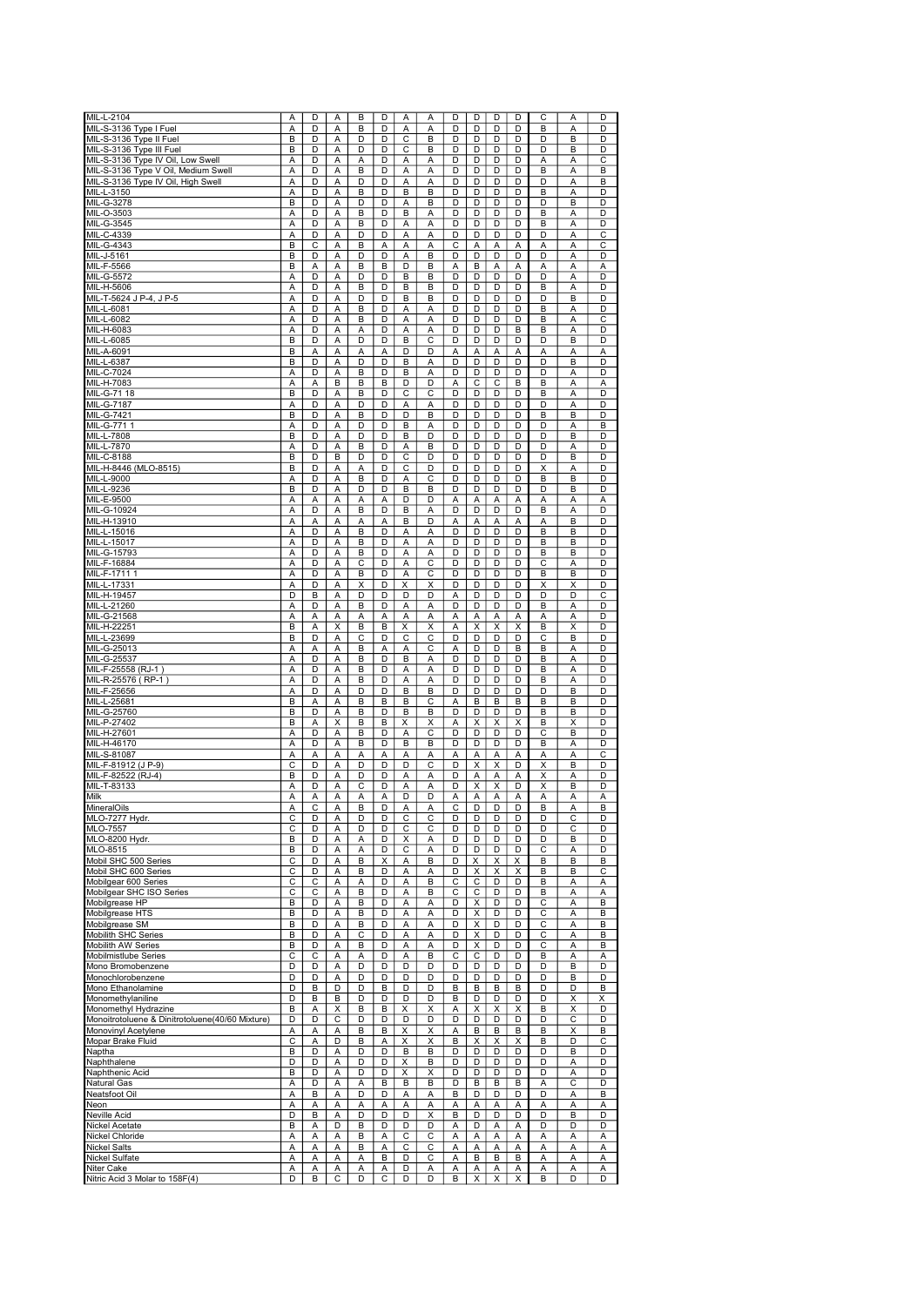| MIL-L-2104                                      | Α | D | A            | B | D | Α              | Α                       | D | D                       | D | D | С                       | A              | D |
|-------------------------------------------------|---|---|--------------|---|---|----------------|-------------------------|---|-------------------------|---|---|-------------------------|----------------|---|
|                                                 |   |   |              |   |   |                |                         |   |                         |   |   |                         |                |   |
| MIL-S-3136 Type I Fuel                          | А | D | Α            | B | D | Α              | Α                       | D | D                       | D | D | B                       | Α              | D |
| MIL-S-3136 Type II Fuel                         | B | D | Α            | D | D | C              | B                       | D | D                       | D | D | D                       | B              | D |
| MIL-S-3136 Type III Fuel                        | В | D | Α            | D | D | С              | B                       | D | D                       | D | D | D                       | В              | D |
| MIL-S-3136 Type IV Oil, Low Swell               | А | D | Α            | А | D | А              | Α                       | D | D                       | D | D | Α                       | Α              | С |
|                                                 |   |   |              |   |   |                |                         |   |                         |   |   |                         |                |   |
| MIL-S-3136 Type V Oil, Medium Swell             | Α | D | Α            | B | D | А              | Α                       | D | D                       | D | D | B                       | Α              | B |
| MIL-S-3136 Type IV Oil, High Swell              | Α | D | A            | D | D | Α              | A                       | D | D                       | D | D | D                       | A              | B |
| MIL-L-3150                                      | Α | D | Α            | B | D | B              | B                       | D | D                       | D | D | B                       | A              | D |
| MIL-G-3278                                      | B | D | Α            | D | D | Α              | B                       | D | D                       | D | D | D                       | B              | D |
|                                                 |   |   |              |   |   |                |                         |   |                         |   |   |                         |                |   |
| MIL-O-3503                                      | Α | D | Α            | B | D | B              | Α                       | D | D                       | D | D | B                       | А              | D |
| MIL-G-3545                                      | Α | D | Α            | B | D | А              | Α                       | D | D                       | D | D | В                       | Α              | D |
| MIL-C-4339                                      | Α | D | Α            | D | D | Α              | Α                       | D | D                       | D | D | D                       | Α              | С |
| MIL-G-4343                                      | B | C | Α            | B | А | А              | A                       | C | Α                       | Α | Α | Α                       | A              | С |
|                                                 |   |   |              |   |   |                |                         |   |                         |   |   |                         |                |   |
| MIL-J-5161                                      | B | D | Α            | D | D | Α              | B                       | D | D                       | D | D | D                       | A              | D |
| MIL-F-5566                                      | B | Α | A            | B | B | D              | B                       | A | B                       | Α | Α | Α                       | A              | Α |
| MIL-G-5572                                      | Α | D | A            | D | D | B              | B                       | D | D                       | D | D | D                       | A              | D |
| MIL-H-5606                                      | A | D | Α            | B | D | B              | B                       | D | D                       | D | D | B                       | A              | D |
|                                                 |   |   |              |   |   |                |                         |   |                         |   |   |                         |                |   |
| MIL-T-5624 J P-4, J P-5                         | А | D | A            | D | D | В              | B                       | D | D                       | D | D | D                       | B              | D |
| MIL-L-6081                                      | Α | D | Α            | B | D | А              | Α                       | D | D                       | D | D | B                       | Α              | D |
| MIL-L-6082                                      | Α | D | Α            | B | D | Α              | Α                       | D | D                       | D | D | B                       | Α              | С |
|                                                 |   |   |              |   |   |                |                         |   |                         |   |   |                         |                |   |
| MIL-H-6083                                      | Α | D | Α            | Α | D | Α              | Α                       | D | D                       | D | в | B                       | Α              | D |
| MIL-L-6085                                      | B | D | A            | D | D | B              | C                       | D | D                       | D | D | D                       | B              | D |
| MIL-A-6091                                      | B | Α | A            | Α | Α | D              | D                       | Α | Α                       | Α | Α | Α                       | A              | A |
| MIL-L-6387                                      | B | D | Α            | D | D | B              | Α                       | D | D                       | D | D | D                       | B              | D |
|                                                 | A | D | A            | B | D | B              | A                       | D | D                       | D | D | D                       | A              | D |
| MIL-C-7024                                      |   |   |              |   |   |                |                         |   |                         |   |   |                         |                |   |
| MIL-H-7083                                      | A | А | B            | B | В | D              | D                       | Α | C                       | C | В | B                       | A              | Α |
| MIL-G-71 18                                     | B | D | Α            | B | D | C              | C                       | D | D                       | D | D | B                       | Α              | D |
| MIL-G-7187                                      | Α | D | Α            | D | D | Α              | Α                       | D | D                       | D | D | D                       | A              | D |
| MIL-G-7421                                      | B | D | A            | B | D | D              | B                       | D | D                       | D | D | B                       | B              | D |
|                                                 |   |   |              |   |   |                |                         |   |                         |   |   |                         |                |   |
| MIL-G-771 1                                     | Α | D | Α            | D | D | B              | Α                       | D | D                       | D | D | D                       | A              | B |
| MIL-L-7808                                      | B | D | A            | D | D | B              | $\overline{D}$          | D | D                       | D | D | D                       | B              | D |
| MIL-L-7870                                      | Α | D | A            | B | D | Α              | B                       | D | D                       | D | D | D                       | Α              | D |
| MIL-C-8188                                      | B | D | B            | D | D | C              | D                       | D | D                       | D | D | D                       | B              | D |
|                                                 |   |   |              |   |   |                |                         |   |                         |   |   |                         |                |   |
| MIL-H-8446 (MLO-8515)                           | B | D | Α            | Α | D | С              | D                       | D | D                       | D | D | Χ                       | A              | D |
| MIL-L-9000                                      | Α | D | Α            | B | D | Α              | С                       | D | D                       | D | D | B                       | B              | D |
| MIL-L-9236                                      | B | D | Α            | D | D | B              | B                       | D | D                       | D | D | D                       | В              | D |
|                                                 |   |   |              |   | А |                | D                       |   |                         |   |   | А                       |                |   |
| MIL-E-9500                                      | А | Α | Α            | Α |   | D              |                         | Α | А                       | Α | А |                         | Α              | Α |
| MIL-G-10924                                     | Α | D | Α            | B | D | B              | A                       | D | D                       | D | D | B                       | A              | D |
| MIL-H-13910                                     | Α | Α | Α            | A | Α | B              | D                       | Α | Α                       | Α | Α | Α                       | $\overline{B}$ | D |
| MIL-L-15016                                     | Α | D | Α            | B | D | Α              | A                       | D | D                       | D | D | B                       | B              | D |
|                                                 |   |   |              |   |   |                |                         |   |                         |   |   |                         |                |   |
| MIL-L-15017                                     | Α | D | Α            | B | D | Α              | A                       | D | D                       | D | D | B                       | B              | D |
| MIL-G-15793                                     | Α | D | Α            | B | D | Α              | Α                       | D | D                       | D | D | В                       | B              | D |
| MIL-F-16884                                     | Α | D | Α            | С | D | Α              | С                       | D | D                       | D | D | С                       | А              | D |
| MIL-F-17111                                     | Α | D | Α            | B | D | Α              | C                       | D | D                       | D | D | B                       | B              | D |
|                                                 |   |   |              |   |   |                |                         |   |                         |   |   |                         |                |   |
| MIL-L-17331                                     | Α | D | A            | Χ | D | Χ              | X                       | D | D                       | D | D | X                       | X              | D |
| MIL-H-19457                                     | D | B | A            | D | D | D              | D                       | Α | D                       | D | D | D                       | D              | С |
| MIL-L-21260                                     | Α | D | Α            | B | D | Α              | Α                       | D | D                       | D | D | B                       | Α              | D |
| MIL-G-21568                                     | Α | Α | A            | Α | А | Α              | Α                       | Α | Α                       | A | Α | Α                       | A              | D |
|                                                 |   |   |              |   |   |                |                         |   |                         |   |   |                         |                |   |
| MIL-H-22251                                     | B | А | Χ            | B | B | Χ              | Χ                       | Α | X                       | X | Χ | В                       | X              | D |
| MIL-L-23699                                     | B | D | Α            | С | D | С              | С                       | D | D                       | D | D | С                       | B              | D |
| MIL-G-25013                                     | Α | Α | Α            | B | Α | Α              | $\overline{\mathsf{c}}$ | Α | D                       | D | В | В                       | А              | D |
| MIL-G-25537                                     | Α | D | Α            | B | D | B              | Α                       | D | D                       | D | D | B                       | Α              | D |
|                                                 |   |   |              |   |   |                |                         |   |                         |   |   |                         |                |   |
| MIL-F-25558 (RJ-1                               | Α | D | Α            | B | D | А              | A                       | D | D                       | D | D | B                       | A              | D |
| MIL-R-25576 (RP-1)                              | Α | D | A            | B | D | Α              | A                       | D | D                       | D | D | B                       | A              | D |
| MIL-F-25656                                     | Ā | D | A            | D | D | $\overline{B}$ | B                       | D | D                       | D | D | D                       | $\overline{B}$ | D |
|                                                 | B |   | A            | B | B | B              | C                       | Α | B                       | B | B | B                       | B              | D |
| MIL-L-25681                                     |   | А |              |   |   |                |                         |   |                         |   |   |                         |                |   |
| MIL-G-25760                                     | B | D | A            | B | D | B              | B                       | D | D                       | D | D | B                       | B              | D |
| MIL-P-27402                                     | B | Α | X            | B | В | X              | X                       | Α | X                       | X | Χ | В                       | X              | D |
| MIL-H-27601                                     | Α | D | Α            | B | D | Α              | C                       | D | D                       | D | D | С                       | B              | D |
|                                                 |   |   |              |   |   |                |                         |   |                         |   |   |                         |                |   |
| MIL-H-46170                                     | Α | D | Α            | B | D | B              | B                       | D | D                       | D | D | B                       | Α              | D |
| MIL-S-81087                                     | Α | А | Α            | А | Α | Α              | Α                       | Α | Α                       | Α | Α | Α                       | Α              | С |
| MIL-F-81912 (J P-9)                             | С | D | Α            | D | D | D              | C                       | D | Χ                       | X | D | X                       | B              | D |
| MIL-F-82522 (RJ-4)                              | B | D | Α            | D | D | А              | Α                       | D | А                       | Α | Α | $\overline{\mathsf{x}}$ | Α              | D |
|                                                 |   |   |              |   |   |                |                         |   |                         |   |   |                         |                |   |
| MIL-T-83133                                     | A | D | A            | С | D | Α              | A                       | D | Χ                       | X | D | Χ                       | B              | D |
| Milk                                            | Α | Α | Α            | A | А | D              | D                       | Α | А                       | Α | А | Α                       | А              | Α |
| Miner <u>alOils</u>                             | А |   | $\mathsf{A}$ | ь | D | А              | A                       |   | υ                       | υ | υ | ь                       | А              | ь |
| MLO-7277 Hydr.                                  | C | D | Α            | D | D | C              | С                       | D | D                       | D | D | D                       | C              | D |
|                                                 |   |   |              |   |   |                |                         |   | D                       |   |   |                         |                |   |
| <b>MLO-7557</b>                                 | С | D | Α            | D | D | С              | С                       | D |                         | D | D | D                       | С              | D |
| MLO-8200 Hydr.                                  | В | D | Α            | А | D | x              | Α                       | D | D                       | D | D | D                       | В              | D |
| MLO-8515                                        | В | D | Α            | Α | D | С              | Α                       | D | D                       | D | D | С                       | A              | D |
| Mobil SHC 500 Series                            | C | D | Α            | B | X | Α              | B                       | D | X                       | X | х | B                       | B              | B |
| Mobil SHC 600 Series                            | C | D | Α            | В | D | Α              | Α                       | D | X                       | X | Χ | B                       | B              | C |
|                                                 |   |   |              |   |   |                |                         |   |                         |   |   |                         |                |   |
| Mobilgear 600 Series                            | С | C | Α            | Α | D | А              | B                       | С | С                       | D | D | B                       | Α              | А |
| Mobilgear SHC ISO Series                        | С | С | Α            | B | D | Α              | B                       | С | С                       | D | D | B                       | А              | Α |
| Mobilgrease HP                                  | В | D | Α            | В | D | Α              | Α                       | D | Χ                       | D | D | С                       | А              | В |
| Mobilgrease HTS                                 | В | D | Α            | В | D | Α              | Α                       | D | $\overline{\mathsf{x}}$ | D | D | С                       | А              | В |
|                                                 |   | D |              | B | D |                |                         | D | Χ                       | D | D |                         |                | В |
| Mobilgrease SM                                  | В |   | Α            |   |   | Α              | Α                       |   |                         |   |   | С                       | А              |   |
| Mobilith SHC Series                             | В | D | Α            | С | D | Α              | Α                       | D | х                       | D | D | С                       | Α              | в |
| Mobilith AW Series                              | B | D | Α            | В | D | Α              | Α                       | D | Χ                       | D | D | C                       | А              | B |
| Mobilmistlube Series                            | C | C | Α            | Α | D | Α              | B                       | C | С                       | D | D | B                       | Α              | A |
|                                                 |   |   |              |   |   |                |                         |   |                         |   |   |                         |                |   |
| Mono Bromobenzene                               | D | D | Α            | D | D | D              | D                       | D | D                       | D | D | D                       | B              | D |
| Monochlorobenzene                               | D | D | A            | D | D | D              | D                       | D | D                       | D | D | D                       | В              | D |
| Mono Ethanolamine                               | D | В | D            | D | В | D              | D                       | В | В                       | В | В | D                       | D              | В |
| Monomethylaniline                               | D | В | В            | D | D | D              | D                       | B | D                       | D | D | D                       | Χ              | Χ |
|                                                 |   |   |              |   |   |                |                         |   |                         |   |   |                         |                |   |
| Monomethyl Hydrazine                            | В | Α | X            | в | В | X              | х                       | Α | X                       | х | х | В                       | х              | D |
| Monoitrotoluene & Dinitrotoluene(40/60 Mixture) | D | D | С            | D | D | D              | D                       | D | D                       | D | D | D                       | С              | D |
| Monovinyl Acetylene                             | Α | Α | Α            | B | B | X              | X                       | Α | B                       | B | B | B                       | Χ              | в |
| Mopar Brake Fluid                               | С | Α | D            | B | А | Χ              | X                       | B | X                       | Χ | X | B                       | D              | С |
|                                                 |   |   |              |   |   |                |                         |   |                         |   |   |                         |                |   |
| Naptha                                          | В | D | Α            | D | D | В              | B                       | D | D                       | D | D | D                       | В              | D |
| Naphthalene                                     | D | D | Α            | D | D | Χ              | B                       | D | D                       | D | D | D                       | А              | D |
| Naphthenic Acid                                 | В | D | Α            | D | D | X              | X                       | D | D                       | D | D | D                       | А              | D |
| Natural Gas                                     |   | D |              |   | В | В              | B                       | D | В                       | B | В |                         | С              | D |
|                                                 | Α |   | Α            | Α |   |                |                         |   |                         |   |   | Α                       |                |   |
| Neatsfoot Oil                                   | А | В | Α            | D | D | Α              | Α                       | В | D                       | D | D | D                       | А              | В |
| Neon                                            | А | А | Α            | Α | Α | Α              | Α                       | Α | Α                       | Α | А | А                       | Α              | А |
| Neville Acid                                    | D | B | Α            | D | D | D              | X                       | B | D                       | D | D | D                       | B              | D |
|                                                 |   |   |              |   |   |                |                         |   |                         |   |   |                         |                |   |
| Nickel Acetate                                  | В | Α | D            | B | D | D              | D                       | Α | D                       | Α | А | D                       | D              | D |
| Nickel Chloride                                 | А | А | Α            | В | А | С              | C                       | A | А                       | Α | А | Α                       | А              | Α |
| <b>Nickel Salts</b>                             | А | Α | Α            | В | Α | С              | С                       | Α | Α                       | Α | Α | Α                       | Α              | Α |
| Nickel Sulfate                                  | А | Α | Α            | Α | в | D              | С                       | Α | В                       | В | в | Α                       | А              | А |
|                                                 |   |   |              |   |   |                |                         |   |                         |   |   |                         |                |   |
| Niter Cake                                      | А | А | Α            | А | Α | D              | Α                       | Α | А                       | Α | А | Α                       | А              | А |
| Nitric Acid 3 Molar to 158F(4)                  | D | в | С            | D | С | D              | D                       | В | X                       | X | X | в                       | D              | D |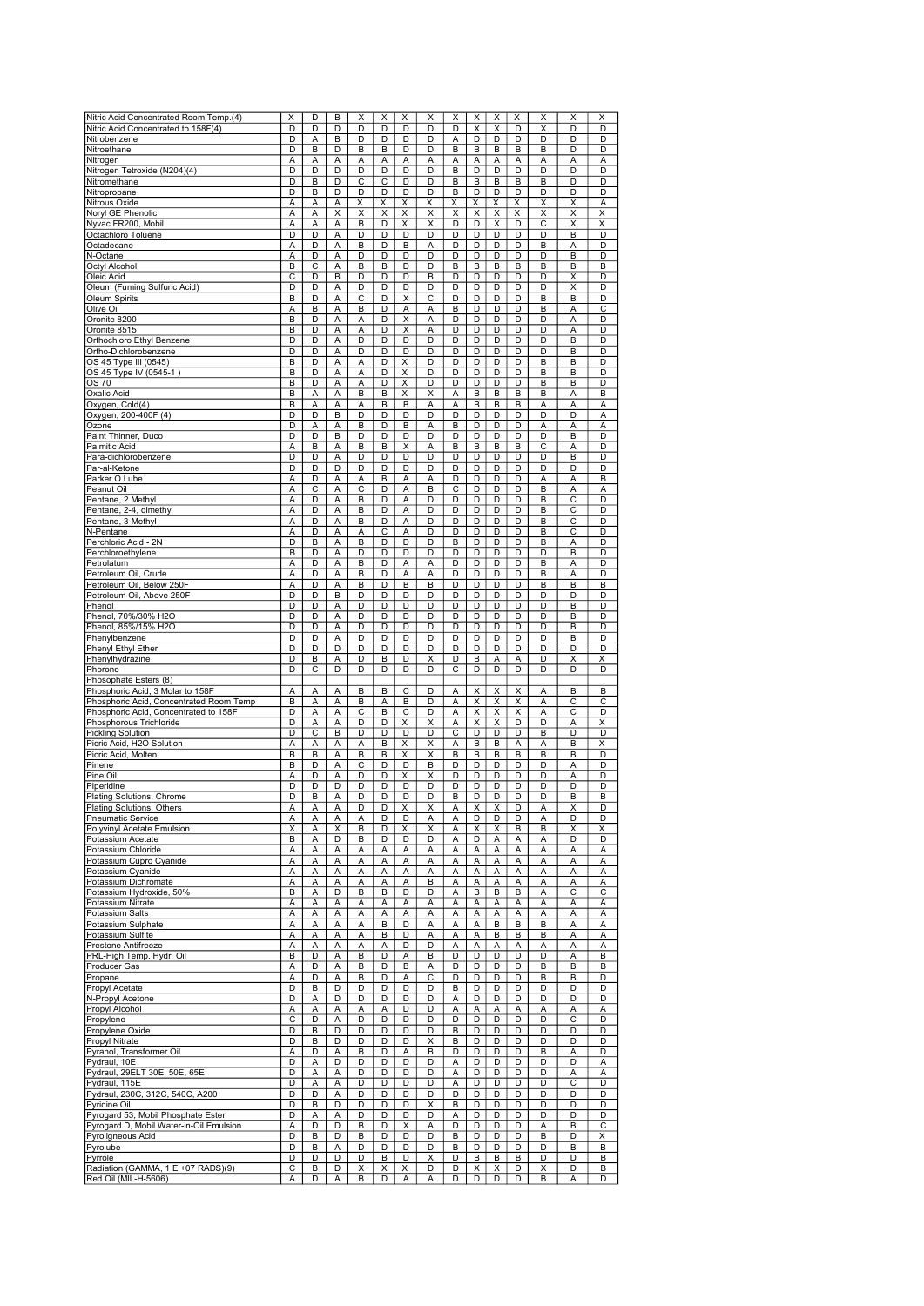| Nitric Acid Concentrated Room Temp.(4)                     | X | D                       | B | X      | X      | X | X | X              | X              | X      | X | X                       | X                       | Χ |
|------------------------------------------------------------|---|-------------------------|---|--------|--------|---|---|----------------|----------------|--------|---|-------------------------|-------------------------|---|
| Nitric Acid Concentrated to 158F(4)                        | D | D                       | D | D      | D      | D | D | D              | X              | X      | D | $\overline{\mathsf{x}}$ | D                       | D |
| Nitrobenzene                                               | D | A                       | B | D      | D      | D | D | А              | D              | D      | D | D                       | D                       | D |
| Nitroethane                                                | D | B                       | D | В      | в      | D | D | B              | В              | B      | B | B                       | D                       | D |
| Nitrogen                                                   |   |                         |   |        |        |   |   |                |                |        |   |                         |                         |   |
|                                                            | Α | Α                       | Α | Α      | А      | Α | Α | Α              | А              | Α      | Α | Α                       | Α                       | Α |
| Nitrogen Tetroxide (N204)(4)                               | D | D                       | D | D      | D      | D | D | в              | D              | D      | D | D                       | D                       | D |
| Nitromethane                                               | D | B                       | D | C      | C      | D | D | B              | B              | B      | B | B                       | D                       | D |
| Nitropropane                                               | D | B                       | D | D      | D      | D | D | B              | D              | D      | D | D                       | D                       | D |
| Nitrous Oxide                                              | А | Α                       | Α | Χ      | X      | X | Χ | х              | X              | X      | Χ | Χ                       | X                       | Α |
|                                                            |   |                         |   |        |        |   |   |                |                |        |   |                         |                         |   |
| Noryl GE Phenolic                                          | А | А                       | Χ | Χ      | X      | Χ | X | Χ              | Χ              | X      | Χ | X                       | Χ                       | X |
| Nyvac FR200, Mobil                                         | A | Α                       | Α | B      | D      | Χ | X | D              | D              | X      | D | $\overline{\text{c}}$   | X                       | X |
| Octachloro Toluene                                         | D | D                       | Α | D      | D      | D | D | D              | D              | D      | D | D                       | B                       | D |
| Octadecane                                                 | Α | D                       | Α | В      | D      | B | Α | D              | D              | D      | D | B                       | A                       | D |
|                                                            | Α | D                       | Α | D      | D      | D | D | D              | D              | D      | D | D                       | B                       | D |
| N-Octane                                                   |   |                         |   |        |        |   |   |                |                |        |   |                         |                         |   |
| Octyl Alcohol                                              | B | C                       | А | B      | В      | D | D | B              | B              | B      | B | B                       | B                       | B |
| Oleic Acid                                                 | С | D                       | B | D      | D      | D | в | D              | D              | D      | D | D                       | X                       | D |
| Oleum (Fuming Sulfuric Acid)                               | D | D                       | Α | D      | D      | D | D | D              | D              | D      | D | D                       | Χ                       | D |
| Oleum Spirits                                              | B | D                       | Α | C      | D      | X | C | D              | D              | D      | D | B                       | B                       | D |
|                                                            |   |                         |   |        |        |   |   |                |                |        |   |                         |                         |   |
| Olive Oil                                                  | Α | B                       | Α | B      | D      | Α | Α | B              | D              | D      | D | B                       | A                       | С |
| Oronite 8200                                               | B | D                       | Α | Α      | D      | X | Α | D              | D              | D      | D | D                       | A                       | D |
| Oronite 8515                                               | B | D                       | A | Α      | D      | Χ | A | D              | D              | D      | D | D                       | A                       | D |
| Orthochloro Ethyl Benzene                                  | D | D                       | Α | D      | D      | D | D | D              | D              | D      | D | D                       | B                       | D |
|                                                            |   |                         |   |        |        |   |   |                |                |        |   |                         |                         |   |
| Ortho-Dichlorobenzene                                      | D | D                       | Α | D      | D      | D | D | D              | D              | D      | D | D                       | B                       | D |
| OS 45 Type III (0545)                                      | В | D                       | Α | А      | D      | X | D | D              | D              | D      | D | В                       | В                       | D |
| OS 45 Type IV (0545-1)                                     | B | D                       | Α | Α      | D      | X | D | D              | D              | D      | D | B                       | В                       | D |
| OS 70                                                      | B | D                       | Α | Α      | D      | X | D | D              | D              | D      | D | B                       | B                       | D |
|                                                            |   |                         |   |        |        |   |   |                |                |        |   |                         |                         |   |
| Oxalic Acid                                                | B | Α                       | Α | B      | В      | X | X | Α              | В              | B      | B | B                       | A                       | B |
| Oxygen, Cold(4)                                            | B | A                       | A | А      | В      | B | А | A              | В              | B      | B | Α                       | A                       | Α |
| Oxygen, 200-400F (4)                                       | D | D                       | в | D      | D      | D | D | D              | D              | D      | D | D                       | D                       | Α |
| Ozone                                                      | D | А                       | Α | В      | D      | В | Α | B              | D              | D      | D | Α                       | Α                       | Α |
| Paint Thinner, Duco                                        | D | D                       | B | D      | D      | D | D | D              | D              | D      | D | D                       | B                       | D |
|                                                            |   |                         |   |        |        |   |   |                |                |        |   |                         |                         |   |
| Palmitic Acid                                              | Α | B                       | Α | B      | В      | X | Α | B              | B              | B      | B | C                       | Α                       | D |
| Para-dichlorobenzene                                       | D | D                       | Α | D      | D      | D | D | D              | D              | D      | D | D                       | B                       | D |
| Par-al-Ketone                                              | D | D                       | D | D      | D      | D | D | D              | D              | D      | D | D                       | D                       | D |
| Parker O Lube                                              | Α | D                       | Α | А      | В      | Α | Α | D              | D              | D      | D | Α                       | А                       | B |
|                                                            |   |                         |   |        |        |   |   |                |                |        |   |                         |                         |   |
| Peanut Oil                                                 | Α | C                       | A | C      | D      | Α | в | C              | D              | D      | D | B                       | A                       | Α |
| Pentane, 2 Methyl                                          | Α | D                       | A | B      | D      | A | D | D              | D              | D      | D | B                       | C                       | D |
| Pentane, 2-4, dimethyl                                     | Α | D                       | Α | В      | D      | Α | D | D              | D              | D      | D | B                       | С                       | D |
| Pentane, 3-Methyl                                          | A | D                       | Α | В      | D      | A | D | D              | D              | D      | D | B                       | $\overline{\mathsf{c}}$ | D |
| N-Pentane                                                  |   | D                       |   |        | C      |   | D | D              | D              | D      | D | B                       | C                       | D |
|                                                            | Α |                         | Α | А      |        | А |   |                |                |        |   |                         |                         |   |
| Perchloric Acid - 2N                                       | D | B                       | Α | B      | D      | D | D | в              | D              | D      | D | B                       | Α                       | D |
| Perchloroethylene                                          | B | D                       | Α | D      | D      | D | D | D              | D              | D      | D | D                       | B                       | D |
| Petrolatum                                                 | Α | $\overline{\mathsf{D}}$ | Α | B      | D      | Α | Α | D              | D              | D      | D | B                       | A                       | D |
|                                                            |   |                         |   |        |        |   |   |                |                |        |   |                         |                         |   |
| Petroleum Oil, Crude                                       | A | D                       | A | B      | D      | A | A | D              | D              | D      | D | B                       | A                       | D |
| Petroleum Oil, Below 250F                                  | A | D                       | A | В      | D      | В | в | D              | D              | D      | D | B                       | B                       | B |
| Petroleum Oil, Above 250F                                  | D | D                       | B | D      | D      | D | D | D              | D              | D      | D | D                       | D                       | D |
| Phenol                                                     | D | D                       | Α | D      | D      | D | D | D              | D              | D      | D | D                       | B                       | D |
|                                                            |   |                         |   |        |        |   |   |                |                |        |   |                         |                         |   |
| Phenol, 70%/30% H2O                                        | D | D                       | Α | D      | D      | D | D | D              | D              | D      | D | D                       | B                       | D |
| Phenol, 85%/15% H2O                                        | D | D                       | Α | D      | D      | D | D | D              | D              | D      | D | D                       | B                       | D |
| Phenylbenzene                                              | D | D                       | Α | D      | D      | D | D | D              | D              | D      | D | D                       | В                       | D |
| Phenyl Ethyl Ether                                         | D | D                       | D | D      | D      | D | D | D              | D              | D      | D | D                       | D                       | D |
|                                                            |   |                         |   |        |        |   |   |                |                |        |   |                         |                         |   |
| Phenylhydrazine                                            | D | B                       | A | D      | В      | D | X | D              | B              | A      | Α | D                       | Χ                       | X |
| Phorone                                                    | D | С                       | D | D      | D      | D | D | С              | D              | D      | D | D                       | D                       | D |
| Phosophate Esters (8)                                      |   |                         |   |        |        |   |   |                |                |        |   |                         |                         |   |
| Phosphoric Acid, 3 Molar to 158F                           | А | Α                       | Α | В      | В      | C | D | А              | Χ              | Χ      | X | Α                       | B                       | B |
|                                                            |   |                         |   |        |        |   |   |                |                |        |   |                         |                         |   |
| Phosphoric Acid, Concentrated Room Temp                    | B | А                       | Α | В      | А      | в | D | Α              | Χ              | Χ      | Х | Α                       | С                       | С |
| Phosphoric Acid, Concentrated to 158F                      | D | Α                       | Α | С      | B      | C | D | Α              | X              | X      | X | Α                       | С                       | D |
| Phosphorous Trichloride                                    | D | Α                       | A | D      | D      | Χ | X | Α              | Χ              | X      | D | D                       | A                       | X |
| Pickling Solution                                          | D | $\overline{\mathsf{c}}$ | B | D      | D      | D | D | $\overline{c}$ | $\overline{D}$ | D      | D | B                       | D                       | D |
|                                                            |   |                         |   |        |        |   |   |                |                |        |   |                         |                         |   |
| Picric Acid, H2O Solution                                  | A | A                       | A | Α      | B      | Χ | Χ | A              | B              | B      | Α | A                       | B                       | X |
| Picric Acid, Molten                                        | B | B                       | Α | В      | В      | X | X | B              | В              | B      | B | B                       | B                       | D |
| Pinene                                                     | В | D                       | Α | С      | D      | D | B | D              | D              | D      | D | D                       | Α                       | D |
| Pine Oil                                                   | Α | D                       | Α | D      | D      | X | X | D              | D              | D      | D | D                       | Α                       | D |
| Piperidine                                                 | D | D                       | D | D      | D      | D | D | D              | D              | D      | D | D                       | D                       |   |
|                                                            |   |                         |   |        |        |   |   |                |                |        |   |                         |                         | D |
| <b>Plating Solutions, Chrome</b>                           | D | B                       | Α | D      | D      | D | D | B              | D              | D      | D | D                       | B                       | B |
| Plating Solutions, Others                                  | Α | Α                       | Α | D      | D      | х | x | Α              | х              | x      | D | Α                       | х                       | D |
| Pneumatic Service                                          | Α | А                       | Α | Α      | D      | D | Α | Α              | D              | D      | D | Α                       | D                       | D |
| Polyvinyl Acetate Emulsion                                 | Χ | Α                       | X | B      | D      | Χ | Χ | А              | Χ              | Χ      | B | B                       | X                       | X |
|                                                            |   |                         |   |        |        |   |   |                |                |        |   |                         |                         |   |
| Potassium Acetate                                          | В | А                       | D | В      | D      | D | D | Α              | D              | Α      | Α | Α                       | D                       | D |
| Potassium Chloride                                         | А | А                       | Α | Α      | Α      | Α | Α | Α              | А              | Α      | Α | A                       | А                       | Α |
| Potassium Cupro Cyanide                                    | А | А                       | Α | Α      | Α      | Α | Α |                |                | Α      | Α | Α                       | А                       | Α |
|                                                            | А |                         |   |        |        |   |   | Α              | А              |        |   |                         |                         | Α |
|                                                            |   |                         |   |        |        |   | Α |                |                |        |   |                         |                         |   |
| Potassium Cyanide                                          |   | А                       | Α | А      | Α      | Α |   | Α              | Α              | Α      | А | Α                       | А                       |   |
| Potassium Dichromate                                       | А | Α                       | Α | А      | А      | Α | в | Α              | Α              | Α      | А | Α                       | Α                       | Α |
| Potassium Hydroxide, 50%                                   | В | А                       | D | В      | В      | D | D | Α              | B              | B      | B | Α                       | С                       | С |
| Potassium Nitrate                                          | A | A                       | Α | Α      | A      | Α | Α | Α              | Α              | Α      | Α | A                       | Α                       | Α |
| Potassium Salts                                            | А | Α                       | Α | Α      | Α      | Α | Α | Α              | Α              | Α      | A | Α                       | Α                       | Α |
|                                                            |   |                         |   |        |        |   |   |                |                |        |   |                         |                         |   |
| Potassium Sulphate                                         | Α | А                       | Α | Α      | в      | D | Α | Α              | Α              | B      | В | B                       | Α                       | Α |
| Potassium Sulfite                                          | А | А                       | Α | А      | в      | D | Α | Α              | А              | B      | В | B                       | Α                       | Α |
| Prestone Antifreeze                                        | Α | А                       | Α | Α      | А      | D | D | Α              | Α              | A      | Α | Α                       | Α                       | Α |
| PRL-High Temp. Hydr. Oil                                   | В | D                       | Α | B      | D      | Α | B | D              | D              | D      | D | D                       | Α                       | B |
|                                                            |   |                         |   |        |        |   |   |                |                |        |   |                         |                         |   |
| Producer Gas                                               | А | D                       | Α | В      | D      | в | Α | D              | D              | D      | D | В                       | В                       | В |
| Propane                                                    | А | D                       | Α | В      | D      | Α | С | D              | D              | D      | D | B                       | В                       | D |
| Propyl Acetate                                             | D | B                       | D | D      | D      | D | D | B              | D              | D      | D | D                       | D                       | D |
| N-Propyl Acetone                                           | D | А                       | D | D      | D      | D | D | Α              | D              | D      | D | D                       | D                       | D |
|                                                            |   |                         |   |        |        |   |   |                |                |        |   |                         |                         |   |
| Propyl Alcohol                                             | А | Α                       | Α | Α      | Α      | D | D | Α              | А              | Α      | А | Α                       | А                       | А |
| Propylene                                                  | С | D                       | Α | D      | D      | D | D | D              | D              | D      | D | D                       | С                       | D |
| Propylene Oxide                                            | D | В                       | D | D      | D      | D | D | В              | D              | D      | D | D                       | D                       | D |
| Propyl Nitrate                                             | D | В                       | D | D      | D      | D | X | В              | D              | D      | D | D                       | D                       | D |
|                                                            |   |                         |   |        |        |   |   |                |                |        |   |                         |                         |   |
| Pyranol, Transformer Oil                                   | А | D                       | Α | В      | D      | Α | в | D              | D              | D      | D | B                       | А                       | D |
| Pydraul, 10E                                               | D | Α                       | D | D      | D      | D | D | А              | D              | D      | D | D                       | D                       | А |
| Pydraul, 29ELT 30E, 50E, 65E                               | D | Α                       | Α | D      | D      | D | D | Α              | D              | D      | D | D                       | Α                       | Α |
| Pydraul, 115E                                              | D | А                       | Α | D      | D      | D | D | Α              | D              | D      | D | D                       | С                       | D |
|                                                            |   |                         |   |        |        |   |   |                |                |        |   |                         |                         |   |
| Pydraul, 230C, 312C, 540C, A200                            | D | D                       | Α | D      | D      | D | D | D              | D              | D      | D | D                       | D                       | D |
| Pyridine Oil                                               | D | В                       | D | D      | D      | D | х | В              | D              | D      | D | D                       | D                       | D |
| Pyrogard 53, Mobil Phosphate Ester                         | D | А                       | Α | D      | D      | D | D | Α              | D              | D      | D | D                       | D                       | D |
|                                                            | А | D                       | D | В      | D      |   | Α | D              | D              | D      | D |                         | В                       | С |
| Pyrogard D, Mobil Water-in-Oil Emulsion                    |   |                         |   |        |        | X |   |                |                |        |   | Α                       |                         |   |
| Pyroligneous Acid                                          | D | В                       | D | В      | D      | D | D | B              | D              | D      | D | В                       | D                       | Χ |
| Pyrolube                                                   | D | В                       | Α | D      | D      | D | D | в              | D              | D      | D | D                       | В                       | в |
| Pyrrole                                                    | D | D                       | D | D      | в      | D | X | D              | В              | B      | в | D                       | D                       | B |
| Radiation (GAMMA, 1 E +07 RADS)(9)<br>Red Oil (MIL-H-5606) | С | B                       | D | X<br>B | X<br>D | X | D | D              | X<br>D         | Χ<br>D | D | Χ<br>B                  | D                       | B |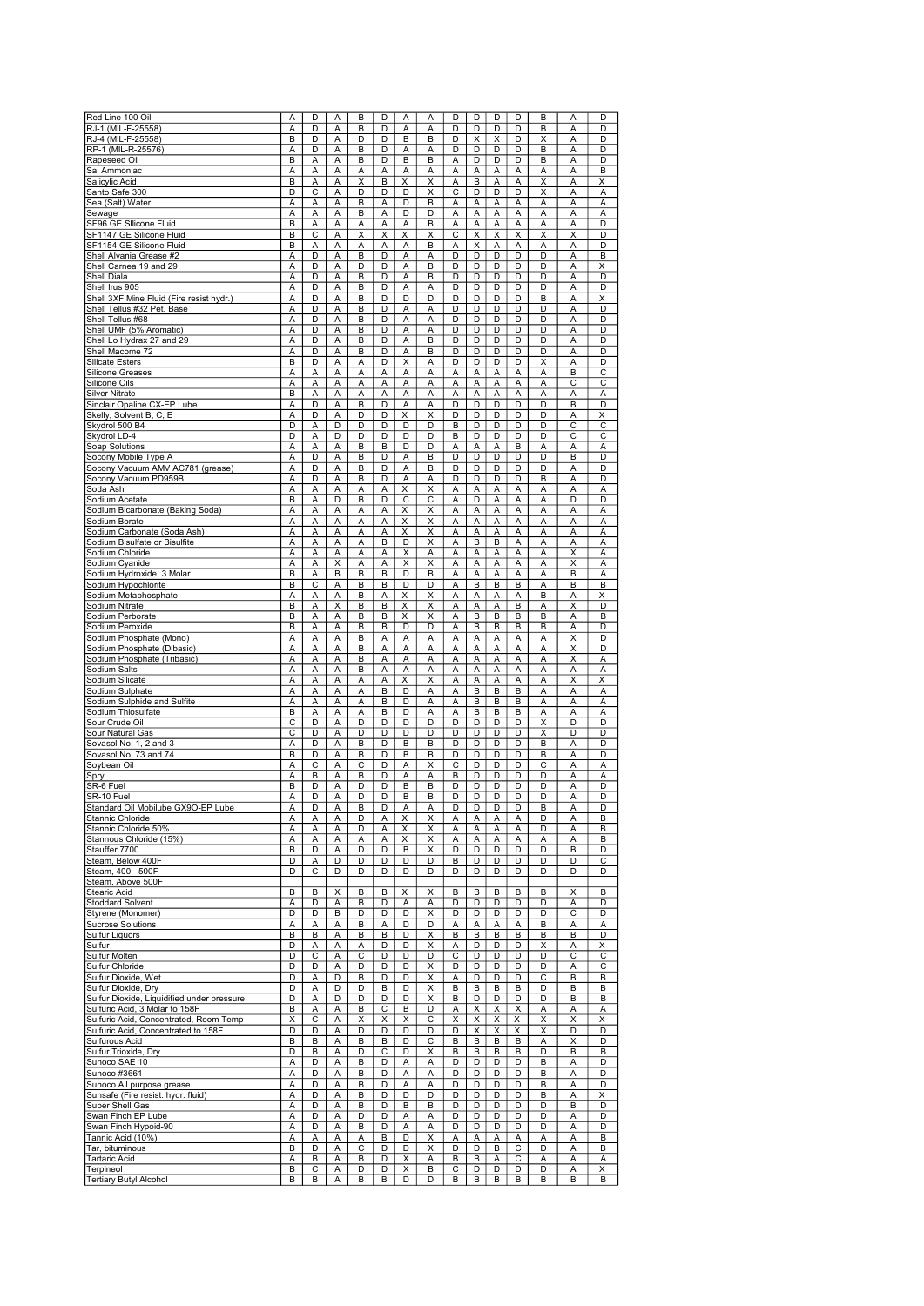| Red Line 100 Oil                           | A                     | D                            | Α              | B | D      | Α                       | Α                       | D      | D | D | D | B                            | A                       | D      |
|--------------------------------------------|-----------------------|------------------------------|----------------|---|--------|-------------------------|-------------------------|--------|---|---|---|------------------------------|-------------------------|--------|
| RJ-1 (MIL-F-25558)                         | A                     | D                            | Α              | B | D      | Α                       | Α                       | D      | D | D | D | B                            | A                       | D      |
| RJ-4 (MIL-F-25558)                         | B                     | D                            | Α              | D | D      | B                       | B                       | D      | X | X | D | X                            | A                       | D      |
| RP-1 (MIL-R-25576)                         | Α                     | D                            | Α              | В | D      | Α                       | Α                       | D      | D | D | D | B                            | A                       | D      |
| Rapeseed Oil                               | B                     | A                            | A              | B | D      | B                       | B                       | А      | D | D | D | B                            | A                       | D      |
| Sal Ammoniac                               | А                     | Α                            | Α              | Α | A      | Α                       | Α                       | А      | Α | Α | А | Α                            | A                       | B      |
| Salicylic Acid                             | B                     | Α                            | Α              | X | B      | Χ                       | X                       | Α      | B | Α | Α | Χ                            | Α                       |        |
|                                            | D                     | С                            |                | D | D      | D                       | X                       | C      | D | D | D | Χ                            |                         | х      |
| Santo Safe 300                             |                       |                              | Α              | B | А      | D                       | в                       |        | Α |   |   | Α                            | А                       | Α      |
| Sea (Salt) Water<br>Sewage                 | А<br>A                | Α                            | Α<br>Α         | B | Α      | D                       | D                       | Α<br>Α | A | Α | Α | Α                            | Α<br>A                  | А<br>Α |
|                                            |                       | А                            |                |   |        |                         |                         |        |   | Α | А |                              |                         |        |
| SF96 GE Sllicone Fluid                     | B                     | А                            | Α              | Α | Α      | Α                       | B                       | Α      | A | A | Α | A                            | A                       | D      |
| SF1147 GE Silicone Fluid                   | B                     | С                            | A              | Χ | Χ      | Χ                       | Χ                       | C      | Χ | Χ | X | X                            | X                       | D      |
| SF1154 GE Silicone Fluid                   | B                     | Α                            | Α              | Α | Α      | Α                       | в                       | А      | Χ | A | Α | Α                            | A                       | D      |
| Shell Alvania Grease #2                    | Α                     | D                            | Α              | B | D      | A                       | А                       | D      | D | D | D | D                            | A                       | B      |
| Shell Carnea 19 and 29                     | А                     | D                            | Α              | D | D      | А                       | B                       | D      | D | D | D | D                            | А                       | Χ      |
| Shell Diala                                | Α                     | D                            | Α              | B | D      | А                       | в                       | D      | D | D | D | D                            | Α                       | D      |
| Shell Irus 905                             | A                     | D                            | A              | B | D      | A                       | A                       | D      | D | D | D | D                            | A                       | D      |
| Shell 3XF Mine Fluid (Fire resist hydr.)   | Α                     | D                            | Α              | B | D      | D                       | D                       | D      | D | D | D | B                            | A                       | х      |
| Shell Tellus #32 Pet. Base                 | Α                     | D                            | A              | B | D      | Α                       | Α                       | D      | D | D | D | D                            | A                       | D      |
| Shell Tellus #68                           | Α                     | D                            | Α              | B | D      | Α                       | A                       | D      | D | D | D | D                            | A                       | D      |
| Shell UMF (5% Aromatic)                    | А                     | D                            | A              | B | D      | Α                       | Α                       | D      | D | D | D | D                            | A                       | D      |
| Shell Lo Hydrax 27 and 29                  | Α                     | D                            | Α              | В | D      | Α                       | B                       | D      | D | D | D | D                            | A                       | D      |
| Shell Macome 72                            | Α                     | D                            | Α              | B | D      | Α                       | в                       | D      | D | D | D | D                            | Α                       | D      |
| <b>Silicate Esters</b>                     | B                     | D                            | Α              | Α | D      | X                       | Α                       | D      | D | D | D | X                            | A                       | D      |
| Silicone Greases                           | А                     | Α                            | Α              | Α | А      | Α                       | Α                       | А      | Α | Α | Α | Α                            | B                       | С      |
| Silicone Oils                              | Α                     | А                            | Α              | А | Α      | Α                       | А                       | Α      | А | Α | Α | Α                            | C                       | C      |
| Silver Nitrate                             | B                     | А                            | A              | Α | A      | A                       | A                       | A      | A | Α | Α | A                            | A                       | Α      |
| Sinclair Opaline CX-EP Lube                | А                     | D                            | A              | B | D      | Α                       | A                       | D      | D | D | D | D                            | B                       | D      |
| Skelly, Solvent B, C, E                    | Α                     | D                            | Α              | D | D      | Χ                       | X                       | D      | D | D | D | D                            | A                       | X      |
| Skydrol 500 B4                             | D                     | Α                            | D              | D | D      | D                       | D                       | B      | D | D | D | D                            | C                       | C      |
| Skydrol LD-4                               | D                     | Α                            | D              | D | D      | D                       | D                       | B      | D | D | D | D                            | С                       | C      |
| Soap Solutions                             | А                     | Α                            | Α              | B | В      | D                       | D                       | Α      | Α | Α | B | Α                            | Α                       | А      |
| Socony Mobile Type A                       | Α                     | D                            | Α              | B | D      | Α                       | B                       | D      | D | D | D | D                            | B                       | D      |
| Socony Vacuum AMV AC781 (grease)           | Α                     | D                            |                | B | D      | A                       | B                       | D      | D | D | D | D                            | A                       | D      |
|                                            |                       | D                            | Α              |   | D      |                         |                         | D      | D | D | D | B                            | $\overline{\mathsf{A}}$ | D      |
| Socony Vacuum PD959B                       | Α                     |                              | Α              | B |        | Α                       | Α                       |        |   |   |   |                              |                         |        |
| Soda Ash                                   | A                     | Α                            | Α              | Α | Α      | Χ                       | X                       | Α      | Α | Α | A | Α                            | A                       | Α      |
| Sodium Acetate                             | B                     | A                            | D              | B | D      | C                       | C                       | A      | D | Α | A | A                            | D                       | D      |
| Sodium Bicarbonate (Baking Soda)           | A                     | Α                            | Α              | Α | A      | X                       | X                       | A      | Α | Α | Α | A                            | A                       | А      |
| Sodium Borate                              | А                     | Ā                            | $\overline{A}$ | Ā | Ā      | Χ                       | $\overline{\mathsf{x}}$ | Ā      | A | Ā | Ā | Ā                            | Ā                       | Α      |
| Sodium Carbonate (Soda Ash)                | А                     | А                            | Α              | А | А      | X                       | X                       | Α      | Α | Α | А | Α                            | А                       | Α      |
| Sodium Bisulfate or Bisulfite              | Α                     | Α                            | Α              | Α | В      | D                       | X                       | А      | B | B | Α | А                            | Α                       | А      |
| Sodium Chloride                            | Α                     | А                            | Α              | Α | А      | X                       | Α                       | Α      | Α | Α | Α | Α                            | X                       | Α      |
| Sodium Cyanide                             | Α                     | Α                            | X              | Α | Α      | $\overline{\mathsf{x}}$ | X                       | Α      | Ā | A | Α | Α                            | Χ                       | Α      |
| Sodium Hydroxide, 3 Molar                  | B                     | A                            | B              | B | B      | D                       | B                       | A      | A | Α | Α | A                            | B                       | A      |
| Sodium Hypochlorite                        | В                     | C                            | A              | В | в      | D                       | D                       | A      | B | B | B | A                            | B                       | B      |
| Sodium Metaphosphate                       | А                     | А                            | A              | B | А      | Χ                       | Χ                       | A      | А | Α | А | B                            | A                       | Χ      |
| Sodium Nitrate                             | В                     | А                            | X              | В | В      | x                       | X                       | Α      | А | Α | В | Α                            | X                       | D      |
| Sodium Perborate                           | B                     | Α                            | А              | B | B      | $\overline{\mathsf{x}}$ | X                       | А      | B | B | B | $\overline{B}$               | Α                       | B      |
| Sodium Peroxide                            | B                     | Α                            | Α              | B | в      | D                       | D                       | А      | в | B | B | B                            | Α                       | D      |
| Sodium Phosphate (Mono)                    | Α                     | Α                            | Α              | B | Α      | Α                       | Α                       | Α      | Α | A | Α | Α                            | Χ                       | D      |
| Sodium Phosphate (Dibasic)                 | Α                     | А                            | Α              | B | Α      | А                       | Α                       | Α      | А | Α | Α | Α                            | Χ                       | D      |
| Sodium Phosphate (Tribasic)                | Α                     | Α                            | A              | B | A      | А                       | A                       | A      | Α | Α | Α | A                            | X                       | Α      |
| Sodium Salts                               | Α                     | A                            | A              | B | A      | A                       | A                       | A      | Α | A | Α | A                            | A                       | Α      |
| Sodium Silicate                            | Α                     | Α                            | Α              | Α | Α      | X                       | Χ                       | Α      | А | A | Α | Α                            | X                       | X      |
| Sodium Sulphate                            | A                     | A                            | Α              | A | B      | D                       | Α                       | Ā      | B | B | B | Ā                            | Ā                       | A      |
| Sodium Sulphide and Sulfite                |                       |                              |                |   | В      | D                       | Α                       |        | B | B | B | A                            | A                       |        |
|                                            | Α                     | А                            | Α              | А |        |                         |                         | Α      |   |   |   |                              |                         | Α      |
| Sodium Thiosulfate                         | B<br>C                | Α                            | Α              | Α | В      | D                       | Α                       | Α      | В | B | В | Α                            | Α                       | Α      |
| Sour Crude Oil                             | $\overline{\text{c}}$ | D<br>$\overline{\mathsf{D}}$ | A              | D | D<br>D | D<br>D                  | D                       | D<br>D | D | D | D | Χ<br>$\overline{\mathsf{x}}$ | D                       | D      |
| Sour Natural Gas                           |                       |                              | Α              | D |        |                         | D                       |        | D | D | D |                              | D                       | D      |
| Sovasol No. 1, 2 and 3                     | А                     | D                            | A              | B | D      | B                       | B                       | D      | D | D | D | B                            | Α                       | D      |
| Sovasol No. 73 and 74                      | В                     | D                            | Α              | В | D      | В                       | B                       | D      | D | D | D | B                            | A                       | D      |
| Soybean Oil                                | А                     | C                            | А              | С | D      | Α                       | Χ                       | C      | D | D | D | C                            | A                       | Α      |
| Spry                                       | Α                     | B                            | Α              | В | D      | А                       | А                       | B      | D | D | D | D                            | A                       | А      |
| SR-6 Fuel                                  | B                     | D                            | Α              | D | D      | В                       | B                       | D      | D | D | D | D                            | Α                       | D      |
| SR-10 Fuel                                 | Α                     | D                            | Α              | D | D      | B                       | B                       | D      | D | D | D | D                            | A                       | D      |
| Standard Oil Mobilube GX9O-EP Lube         | Α                     | υ                            | $\mathsf{A}$   | E |        | Α                       | $\mathsf{A}$            |        |   | υ | υ | в                            | A                       | υ      |
| Stannic Chloride                           | A                     | А                            | Α              | D | Α      | Χ                       | Χ                       | Α      | А | Α | Α | D                            | А                       | В      |
| Stannic Chloride 50%                       | А                     | А                            | Α              | D | А      | $\times$                | X                       | Α      | Α | Α | Α | D                            | Α                       | В      |
| Stannous Chloride (15%)                    | Α                     | Α                            | Α              | А | Α      | Χ                       | Χ                       | Α      | Α | Α | Α | Α                            | Α                       | В      |
| Stauffer 7700                              | В                     | D                            | Α              | D | D      | В                       | X                       | D      | D | D | D | D                            | В                       | D      |
| Steam, Below 400F                          | D                     | А                            | D              | D | D      | D                       | D                       | В      | D | D | D | D                            | D                       | C      |
| Steam, 400 - 500F                          | D                     | С                            | D              | D | D      | D                       | D                       | D      | D | D | D | D                            | D                       | D      |
| Steam, Above 500F                          |                       |                              |                |   |        |                         |                         |        |   |   |   |                              |                         |        |
| Stearic Acid                               | B                     | B                            | X              | B | В      | X                       | X                       | B      | B | B | B | B                            | Χ                       | B      |
| <b>Stoddard Solvent</b>                    | А                     | D                            | Α              | B | D      | Α                       | Α                       | D      | D | D | D | D                            | Α                       | D      |
| Styrene (Monomer)                          | D                     | D                            | B              | D | D      | D                       | Χ                       | D      | D | D | D | D                            | С                       | D      |
| <b>Sucrose Solutions</b>                   | А                     | А                            | Α              | В | Α      | D                       | D                       | А      | А | Α | Α | B                            | Α                       | Α      |
| Sulfur Liquors                             | В                     | В                            | Α              | В | В      | D                       | Χ                       | В      | B | В | в | B                            | В                       | D      |
| Sulfur                                     | D                     | Α                            | Α              | Α | D      | D                       | X                       | Α      | D | D | D | Χ                            | А                       | X      |
| Sulfur Molten                              | D                     | С                            | Α              | С | D      | D                       | D                       | C      | D | D | D | D                            | С                       | С      |
| Sulfur Chloride                            | D                     | D                            | Α              | D | D      | D                       | Χ                       | D      | D | D | D | D                            | A                       | С      |
| Sulfur Dioxide, Wet                        | D                     | Α                            | D              | В | D      | D                       | х                       | Α      | D | D | D | С                            | B                       | в      |
| Sulfur Dioxide, Dry                        | D                     | А                            | D              | D | В      | D                       | Χ                       | В      | В | В | В | D                            | B                       | В      |
| Sulfur Dioxide, Liquidified under pressure | D                     | А                            | D              | D | D      | D                       | Χ                       | B      | D | D | D | D                            | B                       | B      |
| Sulfuric Acid, 3 Molar to 158F             | В                     | А                            | Α              | В | С      | в                       | D                       | Α      | X | Χ | х | Α                            | Α                       | Α      |
| Sulfuric Acid, Concentrated, Room Temp     | Χ                     | С                            | Α              | Χ | X      | X                       | С                       | X      | X | Χ | X | X                            | X                       | X      |
| Sulfuric Acid, Concentrated to 158F        | D                     | D                            | Α              | D | D      | D                       | D                       | D      | Χ | X | X | X                            | D                       | D      |
| Sulfurous Acid                             | В                     | В                            | Α              | В | В      | D                       | С                       | В      | B | В | B | Α                            | Χ                       | D      |
|                                            | D                     | B                            |                | D | С      | D                       |                         | в      | В | B |   | D                            |                         |        |
| Sulfur Trioxide, Dry                       |                       |                              | Α              |   |        |                         | х                       |        |   |   | в |                              | В                       | в      |
| Sunoco SAE 10                              | А                     | D                            | Α              | В | D      | Α                       | Α                       | D      | D | D | D | B                            | А                       | D      |
| Sunoco #3661                               | А                     | D                            | Α              | B | D      | Α                       | Α                       | D      | D | D | D | B                            | Α                       | D      |
| Sunoco All purpose grease                  | А                     | D                            | Α              | В | D      | Α                       | Α                       | D      | D | D | D | B                            | Α                       | D      |
| Sunsafe (Fire resist. hydr. fluid)         | А                     | D                            | Α              | B | D      | D                       | D                       | D      | D | D | D | B                            | A                       | Χ      |
| Super Shell Gas                            | Α                     | D                            | Α              | В | D      | В                       | в                       | D      | D | D | D | D                            | B                       | D      |
| Swan Finch EP Lube                         | А                     | D                            | Α              | D | D      | Α                       | Α                       | D      | D | D | D | D                            | Α                       | D      |
| Swan Finch Hypoid-90                       | А                     | D                            | Α              | В | D      | Α                       | Α                       | D      | D | D | D | D                            | А                       | D      |
| Tannic Acid (10%)                          | Α                     | Α                            | Α              | Α | В      | D                       | X                       | Α      | Α | Α | Α | Α                            | Α                       | в      |
| Tar, bituminous                            | В                     | D                            | Α              | С | D      | D                       | X                       | D      | D | B | С | D                            | Α                       | B      |
| <b>Tartaric Acid</b>                       | А                     | B                            | Α              | в | D      | X                       | Α                       | в      | в | Α | С | Α                            | Α                       | Α      |
| Terpineol                                  | В                     | С                            | Α              | D | D      | x                       | B                       | С      | D | D | D | D                            | А                       | Χ      |
| Tertiary Butyl Alcohol                     | B                     | B                            | A              | B | В      | D                       | D                       | В      | В | B | B | B                            | B                       | B      |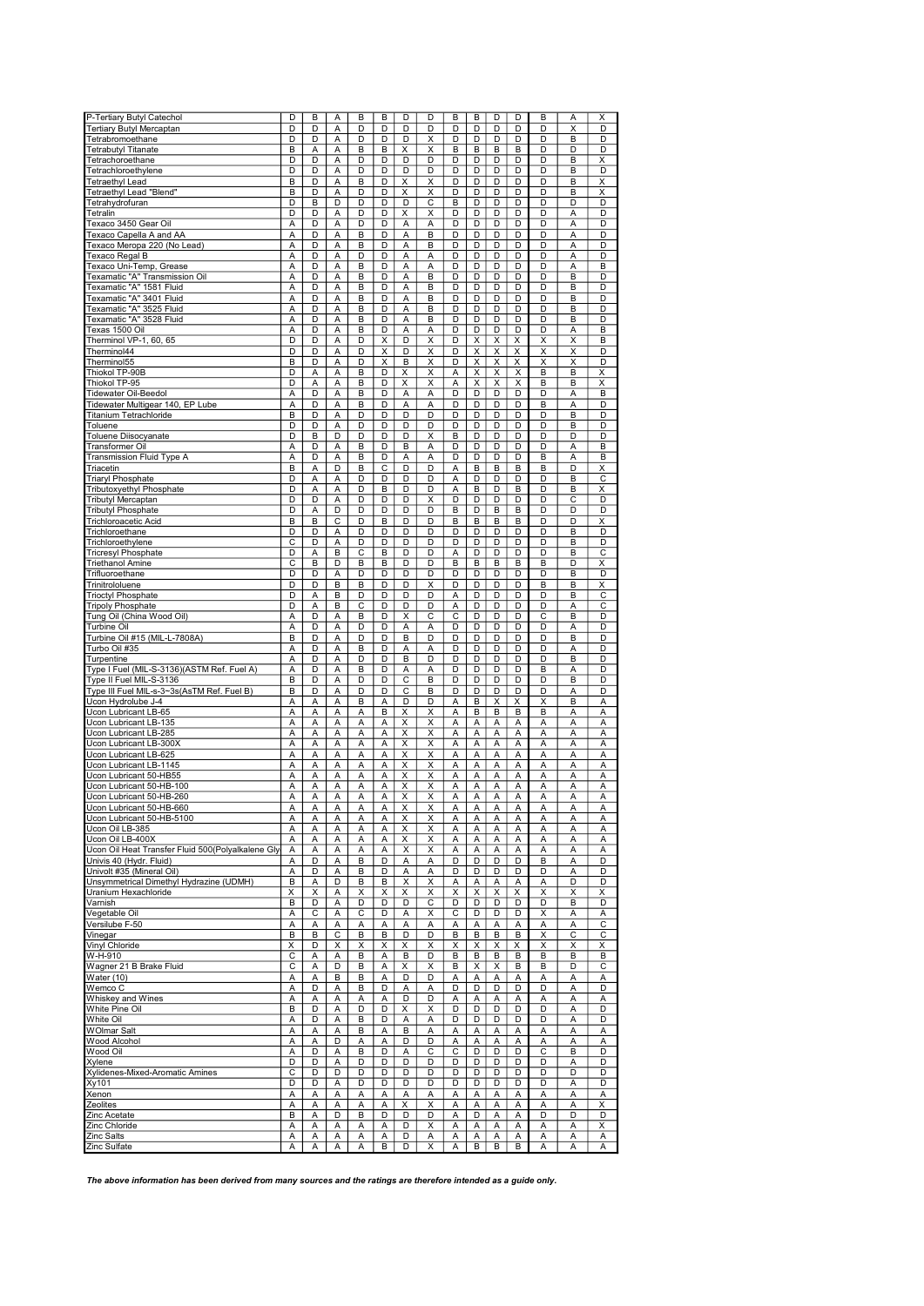| P-Tertiary Butyl Catechol                             | D                       | B      | A                 | B                 | B                 | D                       | D                       | B                     | B                 | D                 | D                 | B                       | А                       | Χ                       |
|-------------------------------------------------------|-------------------------|--------|-------------------|-------------------|-------------------|-------------------------|-------------------------|-----------------------|-------------------|-------------------|-------------------|-------------------------|-------------------------|-------------------------|
| Tertiary Butyl Mercaptan                              | D                       | D      | A                 | D                 | D                 | D                       | D                       | D                     | D                 | D                 | D                 | D                       | $\overline{\mathsf{x}}$ | D                       |
| Tetrabromoethane                                      | D                       | D      | A                 | D                 | D                 | D                       | X                       | D                     | D                 | D                 | D                 | D                       | B                       | D                       |
| <b>Tetrabutyl Titanate</b>                            | В                       | A      | A                 | B                 | В                 | X                       | X                       | B                     | В                 | B                 | B                 | D                       | D                       | D                       |
| Tetrachoroethane                                      | D                       | D      | A                 | D                 | D                 | D                       | D                       | D                     | D                 | D                 | D                 | D                       | B                       | X                       |
| Tetrachloroethylene                                   | D                       | D      | A                 | D                 | D                 | D                       | D                       | D                     | D                 | D                 | D                 | D                       | B                       | D                       |
| Tetraethyl Lead                                       | B                       | D      | Α                 | B                 | D                 | х                       | х                       | D                     | D                 | D                 | D                 | D                       | B                       | х                       |
| Tetraethyl Lead "Blend"                               | B                       | D      | A                 | D                 | D                 | Χ                       | X                       | D                     | D                 | D                 | D                 | D                       | B                       | X                       |
| Tetrahydrofuran                                       | D                       | B      | D                 | D                 | D                 | D                       | C                       | B                     | D                 | D                 | D                 | D                       | D                       | D                       |
| Tetralin                                              | D                       | D      | A                 | D                 | D                 | Χ                       | Χ                       | D                     | D                 | D                 | D                 | D                       | А                       | D                       |
| Texaco 3450 Gear Oil                                  | А                       | D      | Α                 | D                 | D                 | Α                       | A                       | D                     | D                 | D                 | D                 | D                       | A                       | D                       |
| Texaco Capella A and AA                               | A                       | D      | A                 | B                 | D                 | A                       | B                       | D                     | D                 | D                 | D                 | D                       | A                       | D                       |
| Texaco Meropa 220 (No Lead)                           | Α                       | D      | Α                 | B                 | D                 | A                       | в                       | D                     | D                 | D                 | D                 | D                       | A                       | D                       |
| Texaco Regal B                                        | А                       | D      | Α                 | D                 | D                 | Α                       | Α                       | D                     | D                 | D                 | D                 | D                       | Α                       | D                       |
|                                                       |                         |        |                   |                   |                   |                         |                         |                       |                   |                   |                   |                         |                         |                         |
| Texaco Uni-Temp, Grease                               | А                       | D      | Α                 | B                 | D                 | Α                       | Α                       | D                     | D                 | D                 | D                 | D                       | Α                       | B                       |
| Texamatic "A" Transmission Oil                        | А                       | D      | Α                 | B                 | D                 | Α                       | B                       | D                     | D                 | D                 | D                 | D                       | B                       | D                       |
| Texamatic "A" 1581 Fluid                              | A                       | D      | A                 | B                 | D                 | A                       | B                       | D                     | D                 | D                 | D                 | D                       | B                       | D                       |
| Texamatic "A" 3401 Fluid                              | А                       | D      | Α                 | B                 | D                 | Α                       | B                       | D                     | D                 | D                 | D                 | D                       | B                       | D                       |
| Texamatic "A" 3525 Fluid                              | A                       | D      | A                 | B                 | D                 | A                       | B                       | D                     | D                 | D                 | D                 | D                       | B                       | D                       |
| Texamatic "A" 3528 Fluid                              | Α                       | D      | A                 | B                 | D                 | Α                       | в                       | D                     | D                 | D                 | D                 | D                       | B                       | D                       |
| Texas 1500 Oil                                        | Α                       | D      | Α                 | B                 | D                 | A                       | Α                       | D                     | D                 | D                 | D                 | D                       | Α                       | B                       |
| Therminol VP-1, 60, 65                                | D                       | D      | Α                 | D                 | X                 | D                       | X                       | D                     | Χ                 | X                 | X                 | Χ                       | Х                       | B                       |
| Therminol44                                           | D                       | D      | Α                 | D                 | X                 | D                       | Χ                       | D                     | Χ                 | Χ                 | Χ                 | $\overline{\mathsf{x}}$ | X                       | D                       |
| Therminol55                                           | B                       | D      | Α                 | D                 | X                 | В                       | X                       | D                     | Χ                 | Χ                 | Χ                 | Χ                       | X                       | D                       |
| Thiokol TP-90B                                        | D                       | Α      | Α                 | B                 | D                 | X                       | х                       | Α                     | X                 | X                 | X                 | B                       | B                       | Χ                       |
| Thiokol TP-95                                         | D                       | А      | Α                 | B                 | D                 | X                       | X                       | Α                     | X                 | Χ                 | X                 | B                       | B                       | X                       |
| Tidewater Oil-Beedol                                  | Α                       | D      | A                 | B                 | D                 | A                       | A                       | D                     | D                 | D                 | D                 | D                       | A                       | B                       |
| Tidewater Multigear 140, EP Lube                      | A                       | D      | A                 | B                 | D                 | А                       | A                       | D                     | D                 | D                 | D                 | B                       | A                       | D                       |
| Titanium Tetrachloride                                | B                       | D      | A                 | D                 | D                 | D                       | D                       | D                     | D                 | D                 | D                 | D                       | B                       | D                       |
| Toluene                                               | D                       | D      | A                 | D                 | D                 | D                       | D                       | D                     | D                 | D                 | D                 | D                       | B                       | D                       |
| Toluene Diisocyanate                                  | D                       | B      | D                 | D                 | D                 | D                       | X                       | B                     | D                 | D                 | D                 | D                       | D                       | D                       |
| Transformer Oil                                       | А                       | D      | Α                 | B                 | D                 | В                       | A                       | D                     | D                 | D                 | D                 | D                       | А                       | в                       |
| <b>Transmission Fluid Type A</b>                      | А                       | D      | Α                 | B                 | D                 | Α                       | A                       | D                     | D                 | D                 | D                 | B                       | А                       | B                       |
| Triacetin                                             | B                       | A      | D                 | B                 | C                 | D                       | D                       | Α                     | B                 | B                 | B                 | B                       | D                       | х                       |
| <b>Triaryl Phosphate</b>                              | D                       | Α      | Α                 | D                 | D                 | D                       | D                       | Ā                     | D                 | D                 | D                 | D                       | B                       | $\overline{\mathsf{c}}$ |
| Tributoxyethyl Phosphate                              | D                       | A      | A                 | D                 | B                 | D                       | D                       | Α                     | В                 | D                 | B                 | D                       | B                       | Χ                       |
| <b>Tributyl Mercaptan</b>                             | D                       | D      | A                 | D                 | D                 | D                       | X                       | D                     | D                 | D                 | D                 | D                       | C                       | D                       |
| <b>Tributyl Phosphate</b>                             | D                       | A      | D                 | D                 | D                 | D                       | D                       | B                     | D                 | в                 | B                 | D                       | D                       | D                       |
| Trichloroacetic Acid                                  | В                       | B      | С                 | D                 | В                 | D                       | D                       | B                     | B                 | B                 | B                 | D                       | D                       | Χ                       |
|                                                       |                         |        |                   |                   |                   |                         |                         |                       |                   |                   |                   |                         |                         |                         |
| Trichloroethane                                       | D                       | D      | Α                 | D                 | D                 | D                       | D                       | D                     | D                 | D                 | D                 | D                       | В                       | D                       |
| Trichloroethylene                                     | С                       | D      | Α                 | D                 | D                 | D                       | D                       | D                     | D                 | D                 | D                 | D                       | B                       | D                       |
| <b>Tricresyl Phosphate</b>                            | D                       | А      | в                 | C                 | B                 | D                       | D                       | Α                     | D                 | D                 | D                 | D                       | B                       | С                       |
| Triethanol Amine                                      | $\overline{\mathsf{c}}$ | B      | D                 | B                 | B                 | D                       | D                       | B                     | B                 | B                 | B                 | B                       | D                       | х                       |
| Trifluoroethane                                       | D                       | D      | A                 | D                 | D                 | D                       | D                       | D                     | D                 | D                 | D                 | D                       | B                       | D                       |
| Trinitrololuene                                       | D                       | D      | в                 | B                 | D                 | D                       | X                       | D                     | D                 | D                 | D                 | B                       | B                       | Χ                       |
| <b>Trioctyl Phosphate</b>                             | D                       | Α      | B                 | D                 | D                 | D                       | D                       | Α                     | D                 | D                 | D                 | D                       | B                       | С                       |
| <b>Tripoly Phosphate</b>                              | D                       | Α      | B                 | $\overline{c}$    | D                 | D                       | D                       | А                     | D                 | D                 | D                 | D                       | Α                       | C                       |
| Tung Oil (China Wood Oil)                             | А                       | D      | Α                 | B                 | D                 | X                       | C                       | $\overline{\text{c}}$ | D                 | D                 | D                 | $\overline{\mathsf{c}}$ | B                       | D                       |
| Turbine Oil                                           | Α                       | D      | Α                 | D                 | D                 | Α                       | A                       | D                     | D                 | D                 | D                 | D                       | А                       | D                       |
| Turbine Oil #15 (MIL-L-7808A)                         | В                       | D      | Α                 | D                 | D                 | B                       | D                       | D                     | D                 | D                 | D                 | D                       | B                       | D                       |
| Turbo Oil #35                                         | А                       | D      | Α                 | B                 | D                 | Α                       | Α                       | D                     | D                 | D                 | D                 | D                       | А                       | D                       |
| Turpentine                                            | А                       | D      | A                 | D                 | D                 | B                       | D                       | D                     | D                 | D                 | D                 | D                       | B                       | D                       |
| Type I Fuel (MIL-S-3136)(ASTM Ref. Fuel A)            | A                       | D      | A                 | B                 | D                 | Α                       | Α                       | D                     | D                 | D                 | D                 | B                       | А                       | D                       |
| Type II Fuel MIL-S-3136                               | В                       | D      | A                 | D                 | D                 | С                       | в                       | D                     | D                 | D                 | D                 | D                       | B                       | D                       |
| Type III Fuel MIL-s-3~3s(AsTM Ref. Fuel B)            | B                       | D      | $\overline{A}$    | D                 | D                 | $\overline{c}$          | B                       | D                     | D                 | D                 | D                 | D                       | Α                       | D                       |
| Ucon Hydrolube J-4                                    | Α                       | Α      | Α                 | B                 | Α                 | D                       | D                       | Α                     | B                 | Χ                 | Χ                 | X                       | B                       | Α                       |
| Ucon Lubricant LB-65                                  | А                       | А      | Α                 | Α                 | в                 | Χ                       | х                       | Α                     | В                 | B                 | В                 | B                       | А                       | Α                       |
| Ucon Lubricant LB-135                                 | A                       | А      | A                 | Α                 | Α                 | Χ                       | X                       | А                     | Α                 | Α                 | Α                 | Α                       | А                       | Α                       |
| Ucon Lubricant LB-285                                 | Α                       | Ā      | A                 | Α                 | Α                 | $\overline{\mathsf{x}}$ | $\overline{\mathsf{x}}$ | Ā                     | A                 | A                 | A                 | $\overline{A}$          | Ā                       | Α                       |
| Ucon Lubricant LB-300X                                | A                       | A      | A                 | A                 | A                 | X                       | X                       | A                     | Α                 | A                 | Α                 | A                       | A                       | Α                       |
| Ucon Lubricant LB-625                                 | А                       | A      | A                 | Α                 | Α                 | X                       | X                       | Α                     | Α                 | A                 | Α                 | A                       | A                       | A                       |
| Ucon Lubricant LB-1145                                | A                       | A      | A                 | A                 | A                 | X                       | X                       | A                     | A                 | Α                 | Α                 | A                       | A                       | A                       |
| Ucon Lubricant 50-HB55                                | А                       | Α      | Α                 | Α                 | Α                 | Χ                       | $\overline{\mathsf{x}}$ | A                     | Α                 | Α                 | Α                 | Α                       | А                       | Α                       |
| Ucon Lubricant 50-HB-100                              | А                       | Α      | Α                 | Α                 | Α                 | Χ                       | X                       | Α                     | Α                 | Α                 | А                 | Α                       | А                       | Α                       |
| Ucon Lubricant 50-HB-260                              | Α                       | Α      | Α                 | А                 | Α                 | Х                       | X                       | Α                     | А                 | Α                 | Α                 | Α                       | А                       | Α                       |
|                                                       |                         |        |                   |                   |                   |                         |                         |                       |                   |                   |                   |                         |                         |                         |
| Ucon Lubricant 50-HB-660<br>Ucon Lubricant 50-HB-5100 | Α<br>Α                  | Α<br>Α | $\mathsf{A}$<br>Α | $\mathsf{A}$<br>Α | $\mathsf{A}$<br>Α | $\overline{\mathsf{x}}$ | ⋏<br>Χ                  | А<br>Α                | $\mathsf{A}$<br>А | $\mathsf{A}$<br>Α | $\mathsf{A}$<br>Α | A<br>Α                  | Α<br>Α                  | Α<br>Α                  |
|                                                       |                         |        |                   |                   |                   |                         |                         |                       |                   |                   |                   |                         |                         |                         |
| Ucon Oil LB-385                                       | А                       | Α      | Α                 | Α                 | Α                 | Χ                       | X                       | Α                     | А                 | Α                 | Α                 | A                       | Α                       | A                       |
| Ucon Oil LB-400X                                      | А                       | А      | Α                 | Α                 | Α                 | Χ                       | Χ                       | Α                     | Α                 | Α                 | А                 | Α                       | Α                       | Α                       |
| Ucon Oil Heat Transfer Fluid 500(Polyalkalene Gly     | А                       | А      | Α                 | Α                 | Α                 | X                       | X                       | А                     | А                 | Α                 | Α                 | Α                       | Α                       | Α                       |
| Univis 40 (Hydr. Fluid)                               | А                       | D      | Α                 | В                 | D                 | Α                       | Α                       | D                     | D                 | D                 | D                 | В                       | А                       | D                       |
| Univolt #35 (Mineral Oil)                             | А                       | D      | Α                 | B                 | D                 | Α                       | Α                       | D                     | D                 | D                 | D                 | D                       | А                       | D                       |
| Unsymmetrical Dimethyl Hydrazine (UDMH)               | В                       | Α      | D                 | В                 | В                 | X                       | X                       | А                     | Α                 | Α                 | Α                 | Α                       | D                       | D                       |
| Uranium Hexachloride                                  | X                       | X      | Α                 | Χ                 | X                 | X                       | X                       | X                     | X                 | X                 | X                 | X                       | X                       | X                       |
| Varnish                                               | В                       | D      | Α                 | D                 | D                 | D                       | C                       | D                     | D                 | D                 | D                 | D                       | B                       | D                       |
| Vegetable Oil                                         | А                       | С      | Α                 | C                 | D                 | Α                       | X                       | С                     | D                 | D                 | D                 | Χ                       | Α                       | Α                       |
| Versilube F-50                                        | А                       | А      | Α                 | Α                 | Α                 | Α                       | Α                       | Α                     | А                 | Α                 | Α                 | Α                       | Α                       | С                       |
| Vinegar                                               | B                       | В      | С                 | B                 | в                 | D                       | D                       | B                     | В                 | B                 | в                 | X                       | С                       | С                       |
| Vinyl Chloride                                        | X                       | D      | X                 | х                 | х                 | X                       | X                       | Χ                     | X                 | X                 | x                 | X                       | Χ                       | х                       |
| W-H-910                                               | С                       | А      | Α                 | В                 | Α                 | В                       | D                       | B                     | В                 | в                 | В                 | B                       | В                       | B                       |
| Wagner 21 B Brake Fluid                               | С                       | А      | D                 | B                 | Α                 | Χ                       | X                       | B                     | Χ                 | Χ                 | В                 | B                       | D                       | С                       |
| Water (10)                                            | А                       | Α      | в                 | B                 | Α                 | D                       | D                       | Α                     | Α                 | Α                 | Α                 | Α                       | Α                       | Α                       |
| Wemco C                                               | А                       | D      | Α                 | В                 | D                 | Α                       | Α                       | D                     | D                 | D                 | D                 | D                       | А                       | D                       |
| Whiskey and Wines                                     | А                       | А      | Α                 | Α                 | Α                 | D                       | D                       | Α                     | А                 | A                 | Α                 | Α                       | Α                       | Α                       |
| White Pine Oil                                        | В                       | D      | Α                 | D                 | D                 | Χ                       | X                       | D                     | D                 | D                 | D                 | D                       | А                       | D                       |
| White Oil                                             | А                       | D      | Α                 | в                 | D                 | Α                       | Α                       | D                     | D                 | D                 | D                 | D                       | А                       | D                       |
| WOlmar Salt                                           | А                       | Α      | Α                 | В                 | Α                 | в                       | Α                       | Α                     | А                 | Α                 | А                 | Α                       | А                       | Α                       |
| Wood Alcohol                                          | А                       | А      | D                 | А                 | Α                 | D                       | D                       | Α                     | Α                 | Α                 | Α                 | Α                       | Α                       | Α                       |
| Wood Oil                                              | А                       | D      | Α                 | B                 | D                 | Α                       | С                       | С                     | D                 | D                 | D                 | С                       | В                       | D                       |
| Xylene                                                | D                       | D      | Α                 | D                 | D                 | D                       | D                       | D                     | D                 | D                 | D                 | D                       | А                       | D                       |
| Xylidenes-Mixed-Aromatic Amines                       | C                       | D      | D                 | D                 | D                 | D                       | D                       | D                     | D                 | D                 | D                 | D                       | D                       | D                       |
| Xy101                                                 | D                       | D      |                   | D                 | D                 | D                       | D                       | D                     | D                 | D                 | D                 | D                       | Α                       | D                       |
|                                                       |                         |        | Α                 |                   |                   |                         |                         |                       |                   |                   |                   |                         |                         |                         |
| Xenon                                                 | А                       | Α      | Α                 | Α                 | Α                 | Α                       | Α                       | Α                     | Α                 | Α                 | Α                 | Α                       | А                       | Α                       |
| Zeolites                                              | А                       | А      | Α                 | Α                 | Α                 | Χ                       | Χ                       | Α                     | Α                 | Α                 | А                 | Α                       | Α                       | Χ                       |
| Zinc Acetate                                          | B                       | Α      | D                 | B                 | D                 | D                       | D                       | Α                     | D                 | Α                 | А                 | D                       | D                       | D                       |
| Zinc Chloride                                         | Α                       | Α      | Α                 | Α                 | Α                 | D                       | X                       | Α                     | А                 | Α                 | А                 | Α                       | А                       | х                       |
| Zinc Salts                                            | Α                       | А      | Α                 | Α                 | Α                 | D                       | Α                       | Α                     | А                 | Α                 | Α                 | Α                       | А                       | Α                       |
| Zinc Sulfate                                          | Α                       | Α      | Α                 | Α                 | В                 | D                       | Χ                       | Α                     | В                 | в                 | в                 | Α                       | Α                       | Α                       |

The above information has been derived from many sources and the ratings are therefore intended as a guide only.